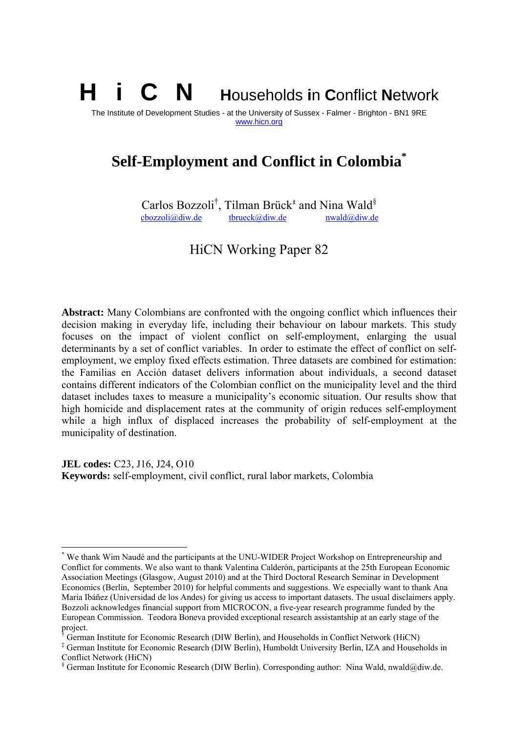# H i C N **H**ouseholds **i**n **C**onflict **N**etwork

The Institute of Development Studies - at the University of Sussex - Falmer - Brighton - BN1 9RE www.hicn.org

# **Self-Employment and Conflict in Colombia\***

Carlos Bozzoli<sup>†</sup>, Tilman Brück<sup>‡</sup> and Nina Wald<sup>§</sup>  $\frac{\text{cbozzoli@div.de}}{\text{thrueck@div.de}}$  hwald@diw.de

HiCN Working Paper 82

**Abstract:** Many Colombians are confronted with the ongoing conflict which influences their decision making in everyday life, including their behaviour on labour markets. This study focuses on the impact of violent conflict on self-employment, enlarging the usual determinants by a set of conflict variables. In order to estimate the effect of conflict on selfemployment, we employ fixed effects estimation. Three datasets are combined for estimation: the Familias en Acción dataset delivers information about individuals, a second dataset contains different indicators of the Colombian conflict on the municipality level and the third dataset includes taxes to measure a municipality's economic situation. Our results show that high homicide and displacement rates at the community of origin reduces self-employment while a high influx of displaced increases the probability of self-employment at the municipality of destination.

**JEL codes:** C23, J16, J24, O10 **Keywords:** self-employment, civil conflict, rural labor markets, Colombia

1

<sup>\*</sup> We thank Wim Naudé and the participants at the UNU-WIDER Project Workshop on Entrepreneurship and Conflict for comments. We also want to thank Valentina Calderón, participants at the 25th European Economic Association Meetings (Glasgow, August 2010) and at the Third Doctoral Research Seminar in Development Economics (Berlin, September 2010) for helpful comments and suggestions. We especially want to thank Ana Maria Ibáñez (Universidad de los Andes) for giving us access to important datasets. The usual disclaimers apply. Bozzoli acknowledges financial support from MICROCON, a five-year research programme funded by the European Commission. Teodora Boneva provided exceptional research assistantship at an early stage of the project.

<sup>&</sup>lt;sup>†</sup> German Institute for Economic Research (DIW Berlin), and Households in Conflict Network (HiCN)

<sup>‡</sup> German Institute for Economic Research (DIW Berlin), Humboldt University Berlin, IZA and Households in Conflict Network (HiCN)

<sup>§</sup> German Institute for Economic Research (DIW Berlin). Corresponding author: Nina Wald, nwald@diw.de.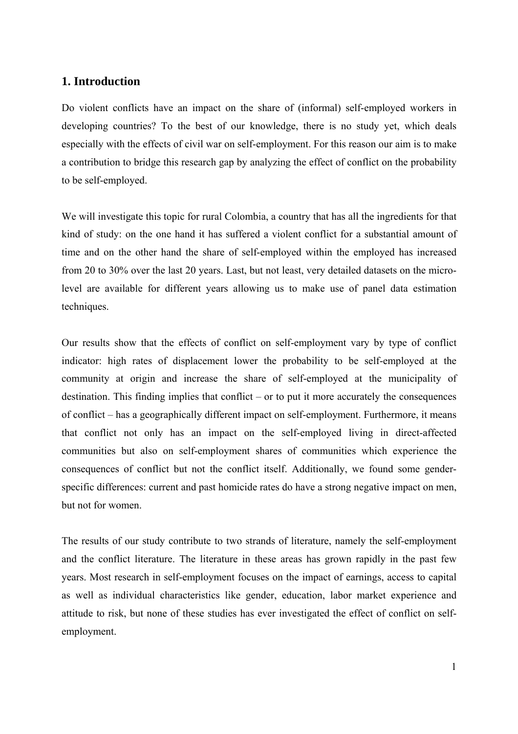# **1. Introduction**

Do violent conflicts have an impact on the share of (informal) self-employed workers in developing countries? To the best of our knowledge, there is no study yet, which deals especially with the effects of civil war on self-employment. For this reason our aim is to make a contribution to bridge this research gap by analyzing the effect of conflict on the probability to be self-employed.

We will investigate this topic for rural Colombia, a country that has all the ingredients for that kind of study: on the one hand it has suffered a violent conflict for a substantial amount of time and on the other hand the share of self-employed within the employed has increased from 20 to 30% over the last 20 years. Last, but not least, very detailed datasets on the microlevel are available for different years allowing us to make use of panel data estimation techniques.

Our results show that the effects of conflict on self-employment vary by type of conflict indicator: high rates of displacement lower the probability to be self-employed at the community at origin and increase the share of self-employed at the municipality of destination. This finding implies that conflict – or to put it more accurately the consequences of conflict – has a geographically different impact on self-employment. Furthermore, it means that conflict not only has an impact on the self-employed living in direct-affected communities but also on self-employment shares of communities which experience the consequences of conflict but not the conflict itself. Additionally, we found some genderspecific differences: current and past homicide rates do have a strong negative impact on men, but not for women.

The results of our study contribute to two strands of literature, namely the self-employment and the conflict literature. The literature in these areas has grown rapidly in the past few years. Most research in self-employment focuses on the impact of earnings, access to capital as well as individual characteristics like gender, education, labor market experience and attitude to risk, but none of these studies has ever investigated the effect of conflict on selfemployment.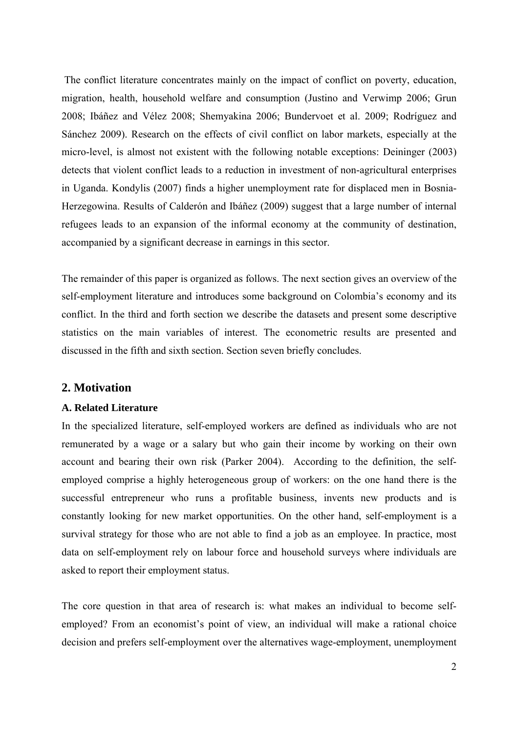The conflict literature concentrates mainly on the impact of conflict on poverty, education, migration, health, household welfare and consumption (Justino and Verwimp 2006; Grun 2008; Ibáñez and Vélez 2008; Shemyakina 2006; Bundervoet et al. 2009; Rodríguez and Sánchez 2009). Research on the effects of civil conflict on labor markets, especially at the micro-level, is almost not existent with the following notable exceptions: Deininger (2003) detects that violent conflict leads to a reduction in investment of non-agricultural enterprises in Uganda. Kondylis (2007) finds a higher unemployment rate for displaced men in Bosnia-Herzegowina. Results of Calderón and Ibáñez (2009) suggest that a large number of internal refugees leads to an expansion of the informal economy at the community of destination, accompanied by a significant decrease in earnings in this sector.

The remainder of this paper is organized as follows. The next section gives an overview of the self-employment literature and introduces some background on Colombia's economy and its conflict. In the third and forth section we describe the datasets and present some descriptive statistics on the main variables of interest. The econometric results are presented and discussed in the fifth and sixth section. Section seven briefly concludes.

#### **2. Motivation**

#### **A. Related Literature**

In the specialized literature, self-employed workers are defined as individuals who are not remunerated by a wage or a salary but who gain their income by working on their own account and bearing their own risk (Parker 2004). According to the definition, the selfemployed comprise a highly heterogeneous group of workers: on the one hand there is the successful entrepreneur who runs a profitable business, invents new products and is constantly looking for new market opportunities. On the other hand, self-employment is a survival strategy for those who are not able to find a job as an employee. In practice, most data on self-employment rely on labour force and household surveys where individuals are asked to report their employment status.

The core question in that area of research is: what makes an individual to become selfemployed? From an economist's point of view, an individual will make a rational choice decision and prefers self-employment over the alternatives wage-employment, unemployment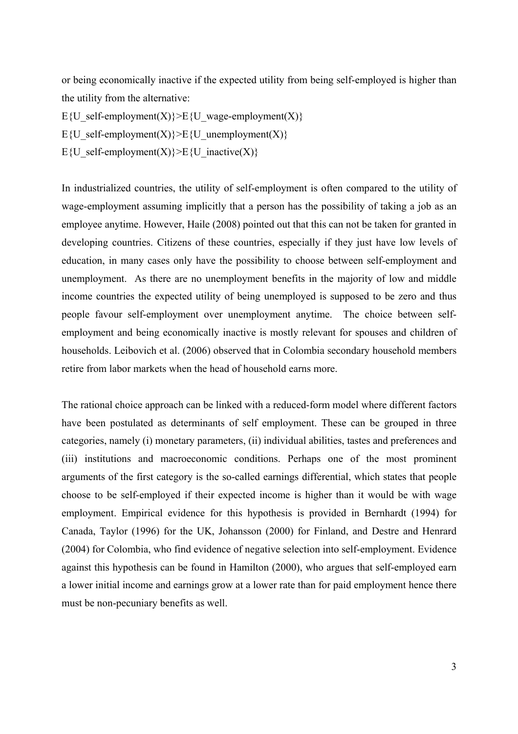or being economically inactive if the expected utility from being self-employed is higher than the utility from the alternative:

E{U\_self-employment(X)}>E{U\_wage-employment(X)}

E{U\_self-employment(X)} $\geq E$ {U\_unemployment(X)}

E{U\_self-employment(X)}>E{U\_inactive(X)}

In industrialized countries, the utility of self-employment is often compared to the utility of wage-employment assuming implicitly that a person has the possibility of taking a job as an employee anytime. However, Haile (2008) pointed out that this can not be taken for granted in developing countries. Citizens of these countries, especially if they just have low levels of education, in many cases only have the possibility to choose between self-employment and unemployment. As there are no unemployment benefits in the majority of low and middle income countries the expected utility of being unemployed is supposed to be zero and thus people favour self-employment over unemployment anytime. The choice between selfemployment and being economically inactive is mostly relevant for spouses and children of households. Leibovich et al. (2006) observed that in Colombia secondary household members retire from labor markets when the head of household earns more.

The rational choice approach can be linked with a reduced-form model where different factors have been postulated as determinants of self employment. These can be grouped in three categories, namely (i) monetary parameters, (ii) individual abilities, tastes and preferences and (iii) institutions and macroeconomic conditions. Perhaps one of the most prominent arguments of the first category is the so-called earnings differential, which states that people choose to be self-employed if their expected income is higher than it would be with wage employment. Empirical evidence for this hypothesis is provided in Bernhardt (1994) for Canada, Taylor (1996) for the UK, Johansson (2000) for Finland, and Destre and Henrard (2004) for Colombia, who find evidence of negative selection into self-employment. Evidence against this hypothesis can be found in Hamilton (2000), who argues that self-employed earn a lower initial income and earnings grow at a lower rate than for paid employment hence there must be non-pecuniary benefits as well.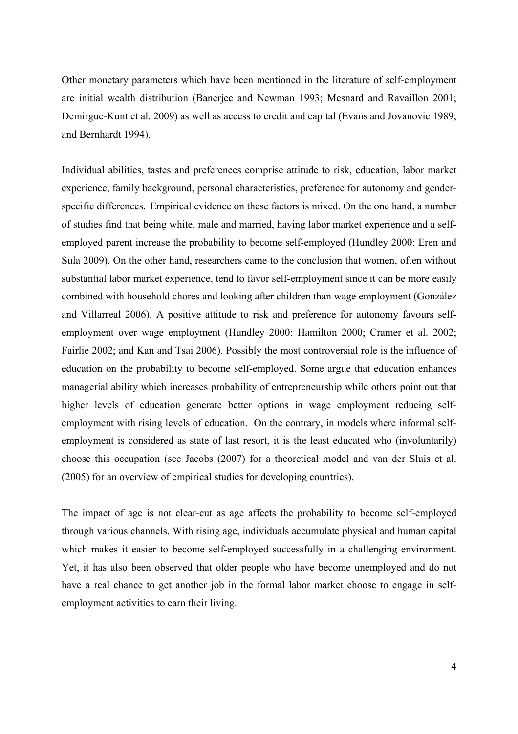Other monetary parameters which have been mentioned in the literature of self-employment are initial wealth distribution (Banerjee and Newman 1993; Mesnard and Ravaillon 2001; Demirguc-Kunt et al. 2009) as well as access to credit and capital (Evans and Jovanovic 1989; and Bernhardt 1994).

Individual abilities, tastes and preferences comprise attitude to risk, education, labor market experience, family background, personal characteristics, preference for autonomy and genderspecific differences.Empirical evidence on these factors is mixed. On the one hand, a number of studies find that being white, male and married, having labor market experience and a selfemployed parent increase the probability to become self-employed (Hundley 2000; Eren and Sula 2009). On the other hand, researchers came to the conclusion that women, often without substantial labor market experience, tend to favor self-employment since it can be more easily combined with household chores and looking after children than wage employment (González and Villarreal 2006). A positive attitude to risk and preference for autonomy favours selfemployment over wage employment (Hundley 2000; Hamilton 2000; Cramer et al. 2002; Fairlie 2002; and Kan and Tsai 2006). Possibly the most controversial role is the influence of education on the probability to become self-employed. Some argue that education enhances managerial ability which increases probability of entrepreneurship while others point out that higher levels of education generate better options in wage employment reducing selfemployment with rising levels of education. On the contrary, in models where informal selfemployment is considered as state of last resort, it is the least educated who (involuntarily) choose this occupation (see Jacobs (2007) for a theoretical model and van der Sluis et al. (2005) for an overview of empirical studies for developing countries).

The impact of age is not clear-cut as age affects the probability to become self-employed through various channels. With rising age, individuals accumulate physical and human capital which makes it easier to become self-employed successfully in a challenging environment. Yet, it has also been observed that older people who have become unemployed and do not have a real chance to get another job in the formal labor market choose to engage in selfemployment activities to earn their living.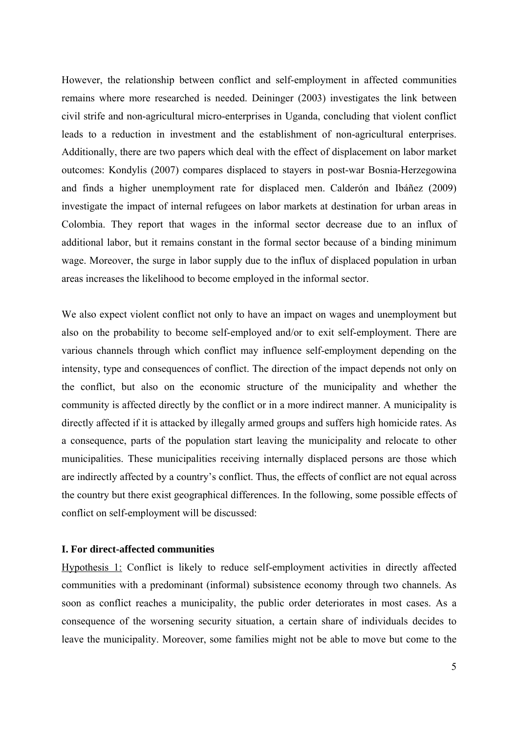However, the relationship between conflict and self-employment in affected communities remains where more researched is needed. Deininger (2003) investigates the link between civil strife and non-agricultural micro-enterprises in Uganda, concluding that violent conflict leads to a reduction in investment and the establishment of non-agricultural enterprises. Additionally, there are two papers which deal with the effect of displacement on labor market outcomes: Kondylis (2007) compares displaced to stayers in post-war Bosnia-Herzegowina and finds a higher unemployment rate for displaced men. Calderón and Ibáñez (2009) investigate the impact of internal refugees on labor markets at destination for urban areas in Colombia. They report that wages in the informal sector decrease due to an influx of additional labor, but it remains constant in the formal sector because of a binding minimum wage. Moreover, the surge in labor supply due to the influx of displaced population in urban areas increases the likelihood to become employed in the informal sector.

We also expect violent conflict not only to have an impact on wages and unemployment but also on the probability to become self-employed and/or to exit self-employment. There are various channels through which conflict may influence self-employment depending on the intensity, type and consequences of conflict. The direction of the impact depends not only on the conflict, but also on the economic structure of the municipality and whether the community is affected directly by the conflict or in a more indirect manner. A municipality is directly affected if it is attacked by illegally armed groups and suffers high homicide rates. As a consequence, parts of the population start leaving the municipality and relocate to other municipalities. These municipalities receiving internally displaced persons are those which are indirectly affected by a country's conflict. Thus, the effects of conflict are not equal across the country but there exist geographical differences. In the following, some possible effects of conflict on self-employment will be discussed:

#### **I. For direct-affected communities**

Hypothesis 1: Conflict is likely to reduce self-employment activities in directly affected communities with a predominant (informal) subsistence economy through two channels. As soon as conflict reaches a municipality, the public order deteriorates in most cases. As a consequence of the worsening security situation, a certain share of individuals decides to leave the municipality. Moreover, some families might not be able to move but come to the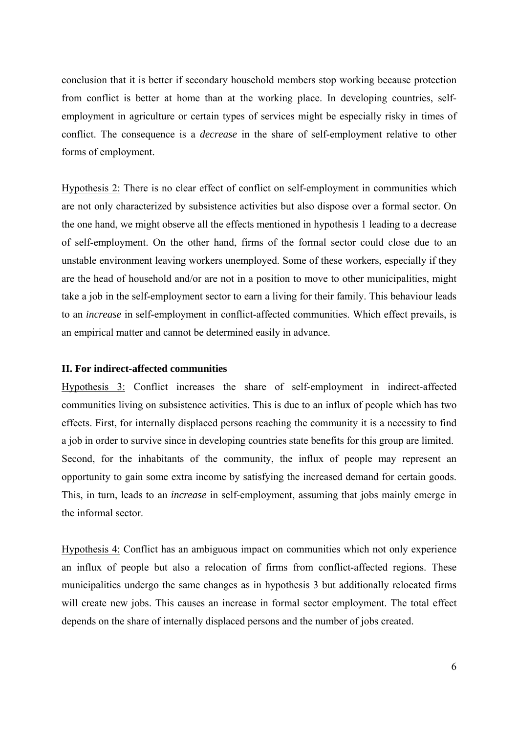conclusion that it is better if secondary household members stop working because protection from conflict is better at home than at the working place. In developing countries, selfemployment in agriculture or certain types of services might be especially risky in times of conflict. The consequence is a *decrease* in the share of self-employment relative to other forms of employment.

Hypothesis 2: There is no clear effect of conflict on self-employment in communities which are not only characterized by subsistence activities but also dispose over a formal sector. On the one hand, we might observe all the effects mentioned in hypothesis 1 leading to a decrease of self-employment. On the other hand, firms of the formal sector could close due to an unstable environment leaving workers unemployed. Some of these workers, especially if they are the head of household and/or are not in a position to move to other municipalities, might take a job in the self-employment sector to earn a living for their family. This behaviour leads to an *increase* in self-employment in conflict-affected communities. Which effect prevails, is an empirical matter and cannot be determined easily in advance.

#### **II. For indirect-affected communities**

Hypothesis 3: Conflict increases the share of self-employment in indirect-affected communities living on subsistence activities. This is due to an influx of people which has two effects. First, for internally displaced persons reaching the community it is a necessity to find a job in order to survive since in developing countries state benefits for this group are limited. Second, for the inhabitants of the community, the influx of people may represent an opportunity to gain some extra income by satisfying the increased demand for certain goods. This, in turn, leads to an *increase* in self-employment, assuming that jobs mainly emerge in the informal sector.

Hypothesis 4: Conflict has an ambiguous impact on communities which not only experience an influx of people but also a relocation of firms from conflict-affected regions. These municipalities undergo the same changes as in hypothesis 3 but additionally relocated firms will create new jobs. This causes an increase in formal sector employment. The total effect depends on the share of internally displaced persons and the number of jobs created.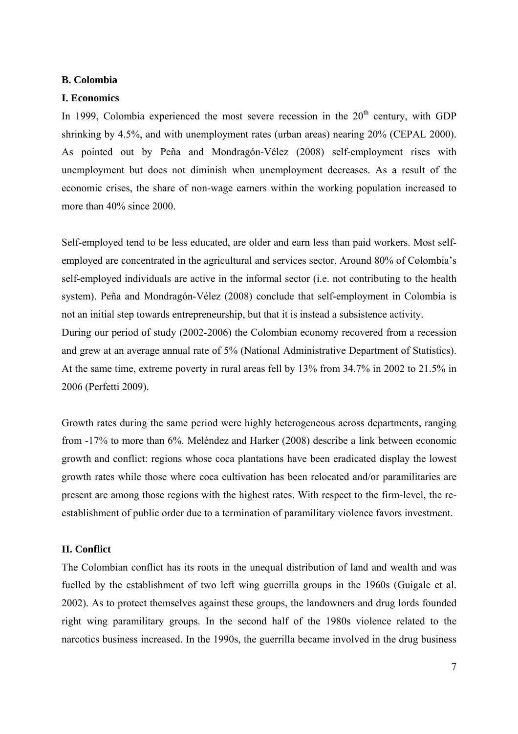#### **B. Colombia**

#### **I. Economics**

In 1999, Colombia experienced the most severe recession in the  $20<sup>th</sup>$  century, with GDP shrinking by 4.5%, and with unemployment rates (urban areas) nearing 20% (CEPAL 2000). As pointed out by Peña and Mondragón-Vélez (2008) self-employment rises with unemployment but does not diminish when unemployment decreases. As a result of the economic crises, the share of non-wage earners within the working population increased to more than 40% since 2000.

Self-employed tend to be less educated, are older and earn less than paid workers. Most selfemployed are concentrated in the agricultural and services sector. Around 80% of Colombia's self-employed individuals are active in the informal sector (i.e. not contributing to the health system). Peña and Mondragón-Vélez (2008) conclude that self-employment in Colombia is not an initial step towards entrepreneurship, but that it is instead a subsistence activity. During our period of study (2002-2006) the Colombian economy recovered from a recession and grew at an average annual rate of 5% (National Administrative Department of Statistics). At the same time, extreme poverty in rural areas fell by 13% from 34.7% in 2002 to 21.5% in 2006 (Perfetti 2009).

Growth rates during the same period were highly heterogeneous across departments, ranging from -17% to more than 6%. Meléndez and Harker (2008) describe a link between economic growth and conflict: regions whose coca plantations have been eradicated display the lowest growth rates while those where coca cultivation has been relocated and/or paramilitaries are present are among those regions with the highest rates. With respect to the firm-level, the reestablishment of public order due to a termination of paramilitary violence favors investment.

#### **II. Conflict**

The Colombian conflict has its roots in the unequal distribution of land and wealth and was fuelled by the establishment of two left wing guerrilla groups in the 1960s (Guigale et al. 2002). As to protect themselves against these groups, the landowners and drug lords founded right wing paramilitary groups. In the second half of the 1980s violence related to the narcotics business increased. In the 1990s, the guerrilla became involved in the drug business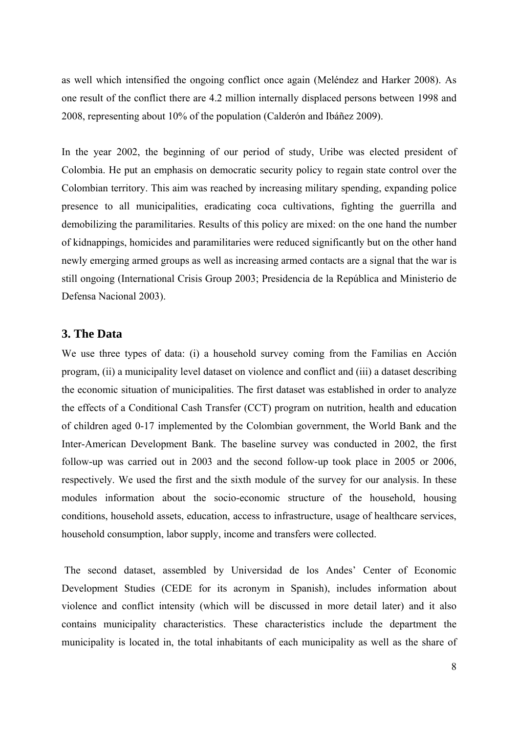as well which intensified the ongoing conflict once again (Meléndez and Harker 2008). As one result of the conflict there are 4.2 million internally displaced persons between 1998 and 2008, representing about 10% of the population (Calderón and Ibáñez 2009).

In the year 2002, the beginning of our period of study, Uribe was elected president of Colombia. He put an emphasis on democratic security policy to regain state control over the Colombian territory. This aim was reached by increasing military spending, expanding police presence to all municipalities, eradicating coca cultivations, fighting the guerrilla and demobilizing the paramilitaries. Results of this policy are mixed: on the one hand the number of kidnappings, homicides and paramilitaries were reduced significantly but on the other hand newly emerging armed groups as well as increasing armed contacts are a signal that the war is still ongoing (International Crisis Group 2003; Presidencia de la República and Ministerio de Defensa Nacional 2003).

#### **3. The Data**

We use three types of data: (i) a household survey coming from the Familias en Acción program, (ii) a municipality level dataset on violence and conflict and (iii) a dataset describing the economic situation of municipalities. The first dataset was established in order to analyze the effects of a Conditional Cash Transfer (CCT) program on nutrition, health and education of children aged 0-17 implemented by the Colombian government, the World Bank and the Inter-American Development Bank. The baseline survey was conducted in 2002, the first follow-up was carried out in 2003 and the second follow-up took place in 2005 or 2006, respectively. We used the first and the sixth module of the survey for our analysis. In these modules information about the socio-economic structure of the household, housing conditions, household assets, education, access to infrastructure, usage of healthcare services, household consumption, labor supply, income and transfers were collected.

 The second dataset, assembled by Universidad de los Andes' Center of Economic Development Studies (CEDE for its acronym in Spanish), includes information about violence and conflict intensity (which will be discussed in more detail later) and it also contains municipality characteristics. These characteristics include the department the municipality is located in, the total inhabitants of each municipality as well as the share of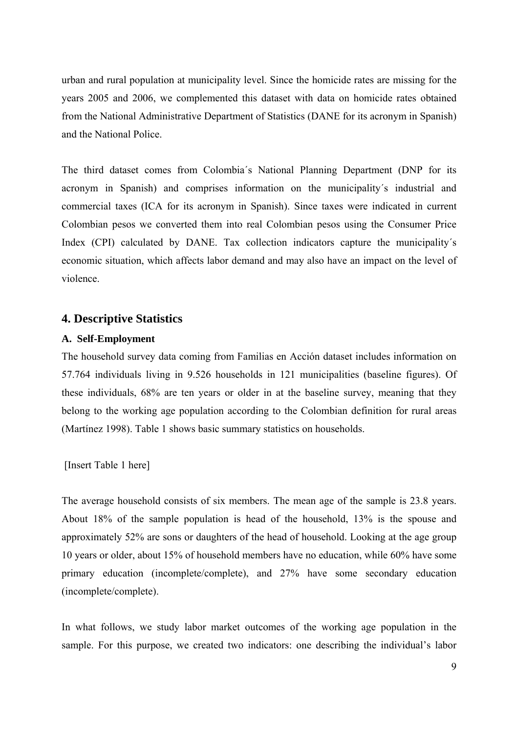urban and rural population at municipality level. Since the homicide rates are missing for the years 2005 and 2006, we complemented this dataset with data on homicide rates obtained from the National Administrative Department of Statistics (DANE for its acronym in Spanish) and the National Police.

The third dataset comes from Colombia´s National Planning Department (DNP for its acronym in Spanish) and comprises information on the municipality´s industrial and commercial taxes (ICA for its acronym in Spanish). Since taxes were indicated in current Colombian pesos we converted them into real Colombian pesos using the Consumer Price Index (CPI) calculated by DANE. Tax collection indicators capture the municipality´s economic situation, which affects labor demand and may also have an impact on the level of violence.

# **4. Descriptive Statistics**

### **A. Self-Employment**

The household survey data coming from Familias en Acción dataset includes information on 57.764 individuals living in 9.526 households in 121 municipalities (baseline figures). Of these individuals, 68% are ten years or older in at the baseline survey, meaning that they belong to the working age population according to the Colombian definition for rural areas (Martínez 1998). Table 1 shows basic summary statistics on households.

[Insert Table 1 here]

The average household consists of six members. The mean age of the sample is 23.8 years. About 18% of the sample population is head of the household, 13% is the spouse and approximately 52% are sons or daughters of the head of household. Looking at the age group 10 years or older, about 15% of household members have no education, while 60% have some primary education (incomplete/complete), and 27% have some secondary education (incomplete/complete).

In what follows, we study labor market outcomes of the working age population in the sample. For this purpose, we created two indicators: one describing the individual's labor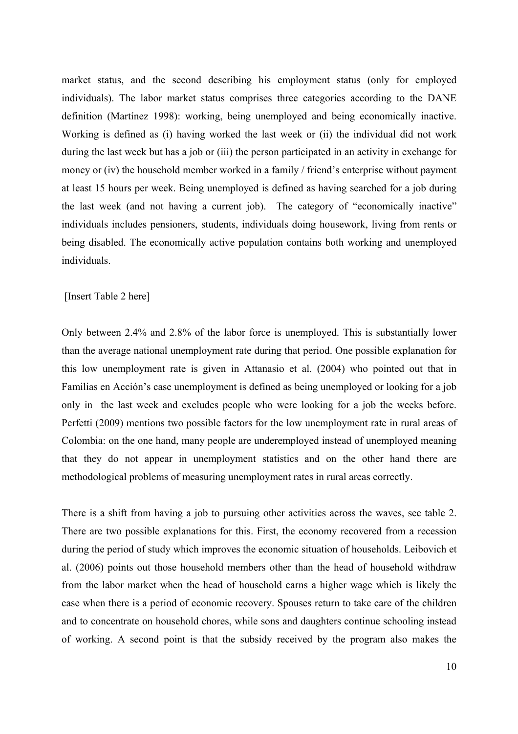market status, and the second describing his employment status (only for employed individuals). The labor market status comprises three categories according to the DANE definition (Martínez 1998): working, being unemployed and being economically inactive. Working is defined as (i) having worked the last week or (ii) the individual did not work during the last week but has a job or (iii) the person participated in an activity in exchange for money or (iv) the household member worked in a family / friend's enterprise without payment at least 15 hours per week. Being unemployed is defined as having searched for a job during the last week (and not having a current job). The category of "economically inactive" individuals includes pensioners, students, individuals doing housework, living from rents or being disabled. The economically active population contains both working and unemployed individuals.

#### [Insert Table 2 here]

Only between 2.4% and 2.8% of the labor force is unemployed. This is substantially lower than the average national unemployment rate during that period. One possible explanation for this low unemployment rate is given in Attanasio et al. (2004) who pointed out that in Familias en Acción's case unemployment is defined as being unemployed or looking for a job only in the last week and excludes people who were looking for a job the weeks before. Perfetti (2009) mentions two possible factors for the low unemployment rate in rural areas of Colombia: on the one hand, many people are underemployed instead of unemployed meaning that they do not appear in unemployment statistics and on the other hand there are methodological problems of measuring unemployment rates in rural areas correctly.

There is a shift from having a job to pursuing other activities across the waves, see table 2. There are two possible explanations for this. First, the economy recovered from a recession during the period of study which improves the economic situation of households. Leibovich et al. (2006) points out those household members other than the head of household withdraw from the labor market when the head of household earns a higher wage which is likely the case when there is a period of economic recovery. Spouses return to take care of the children and to concentrate on household chores, while sons and daughters continue schooling instead of working. A second point is that the subsidy received by the program also makes the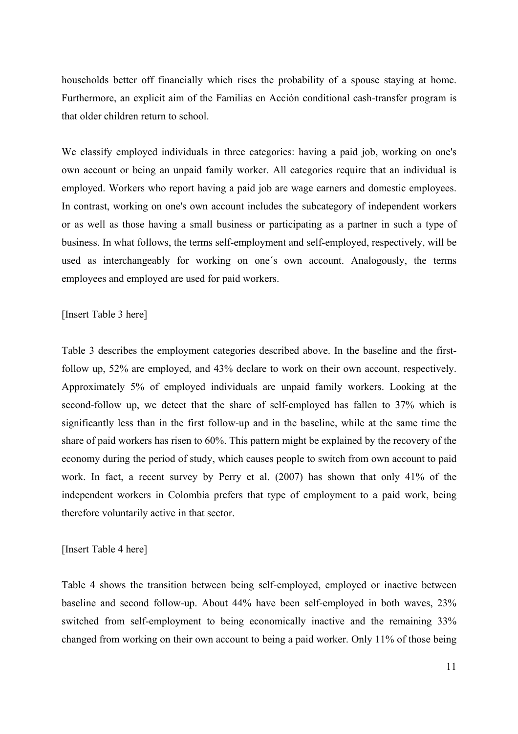households better off financially which rises the probability of a spouse staying at home. Furthermore, an explicit aim of the Familias en Acción conditional cash-transfer program is that older children return to school.

We classify employed individuals in three categories: having a paid job, working on one's own account or being an unpaid family worker. All categories require that an individual is employed. Workers who report having a paid job are wage earners and domestic employees. In contrast, working on one's own account includes the subcategory of independent workers or as well as those having a small business or participating as a partner in such a type of business. In what follows, the terms self-employment and self-employed, respectively, will be used as interchangeably for working on one´s own account. Analogously, the terms employees and employed are used for paid workers.

#### [Insert Table 3 here]

Table 3 describes the employment categories described above. In the baseline and the firstfollow up, 52% are employed, and 43% declare to work on their own account, respectively. Approximately 5% of employed individuals are unpaid family workers. Looking at the second-follow up, we detect that the share of self-employed has fallen to 37% which is significantly less than in the first follow-up and in the baseline, while at the same time the share of paid workers has risen to 60%. This pattern might be explained by the recovery of the economy during the period of study, which causes people to switch from own account to paid work. In fact, a recent survey by Perry et al. (2007) has shown that only 41% of the independent workers in Colombia prefers that type of employment to a paid work, being therefore voluntarily active in that sector.

#### [Insert Table 4 here]

Table 4 shows the transition between being self-employed, employed or inactive between baseline and second follow-up. About 44% have been self-employed in both waves, 23% switched from self-employment to being economically inactive and the remaining 33% changed from working on their own account to being a paid worker. Only 11% of those being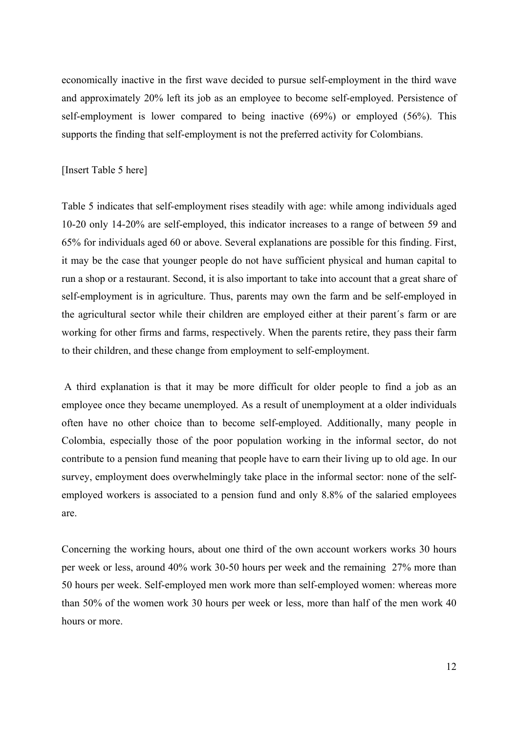economically inactive in the first wave decided to pursue self-employment in the third wave and approximately 20% left its job as an employee to become self-employed. Persistence of self-employment is lower compared to being inactive (69%) or employed (56%). This supports the finding that self-employment is not the preferred activity for Colombians.

#### [Insert Table 5 here]

Table 5 indicates that self-employment rises steadily with age: while among individuals aged 10-20 only 14-20% are self-employed, this indicator increases to a range of between 59 and 65% for individuals aged 60 or above. Several explanations are possible for this finding. First, it may be the case that younger people do not have sufficient physical and human capital to run a shop or a restaurant. Second, it is also important to take into account that a great share of self-employment is in agriculture. Thus, parents may own the farm and be self-employed in the agricultural sector while their children are employed either at their parent´s farm or are working for other firms and farms, respectively. When the parents retire, they pass their farm to their children, and these change from employment to self-employment.

 A third explanation is that it may be more difficult for older people to find a job as an employee once they became unemployed. As a result of unemployment at a older individuals often have no other choice than to become self-employed. Additionally, many people in Colombia, especially those of the poor population working in the informal sector, do not contribute to a pension fund meaning that people have to earn their living up to old age. In our survey, employment does overwhelmingly take place in the informal sector: none of the selfemployed workers is associated to a pension fund and only 8.8% of the salaried employees are.

Concerning the working hours, about one third of the own account workers works 30 hours per week or less, around 40% work 30-50 hours per week and the remaining 27% more than 50 hours per week. Self-employed men work more than self-employed women: whereas more than 50% of the women work 30 hours per week or less, more than half of the men work 40 hours or more.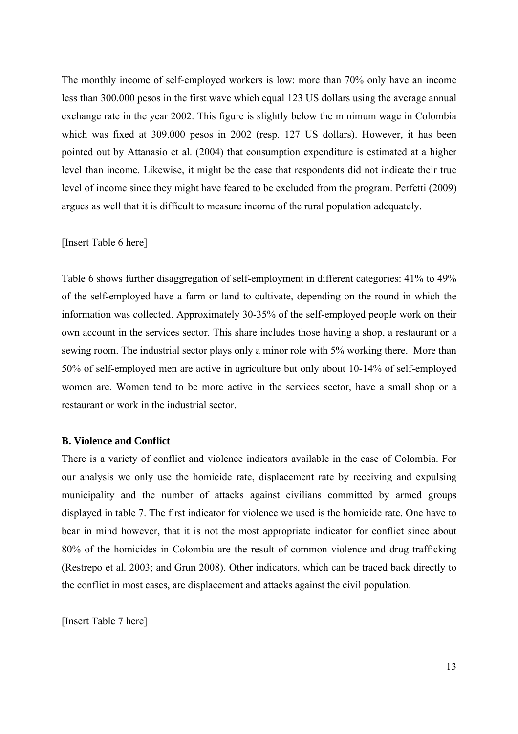The monthly income of self-employed workers is low: more than 70% only have an income less than 300.000 pesos in the first wave which equal 123 US dollars using the average annual exchange rate in the year 2002. This figure is slightly below the minimum wage in Colombia which was fixed at 309.000 pesos in 2002 (resp. 127 US dollars). However, it has been pointed out by Attanasio et al. (2004) that consumption expenditure is estimated at a higher level than income. Likewise, it might be the case that respondents did not indicate their true level of income since they might have feared to be excluded from the program. Perfetti (2009) argues as well that it is difficult to measure income of the rural population adequately.

#### [Insert Table 6 here]

Table 6 shows further disaggregation of self-employment in different categories: 41% to 49% of the self-employed have a farm or land to cultivate, depending on the round in which the information was collected. Approximately 30-35% of the self-employed people work on their own account in the services sector. This share includes those having a shop, a restaurant or a sewing room. The industrial sector plays only a minor role with 5% working there. More than 50% of self-employed men are active in agriculture but only about 10-14% of self-employed women are. Women tend to be more active in the services sector, have a small shop or a restaurant or work in the industrial sector.

#### **B. Violence and Conflict**

There is a variety of conflict and violence indicators available in the case of Colombia. For our analysis we only use the homicide rate, displacement rate by receiving and expulsing municipality and the number of attacks against civilians committed by armed groups displayed in table 7. The first indicator for violence we used is the homicide rate. One have to bear in mind however, that it is not the most appropriate indicator for conflict since about 80% of the homicides in Colombia are the result of common violence and drug trafficking (Restrepo et al. 2003; and Grun 2008). Other indicators, which can be traced back directly to the conflict in most cases, are displacement and attacks against the civil population.

[Insert Table 7 here]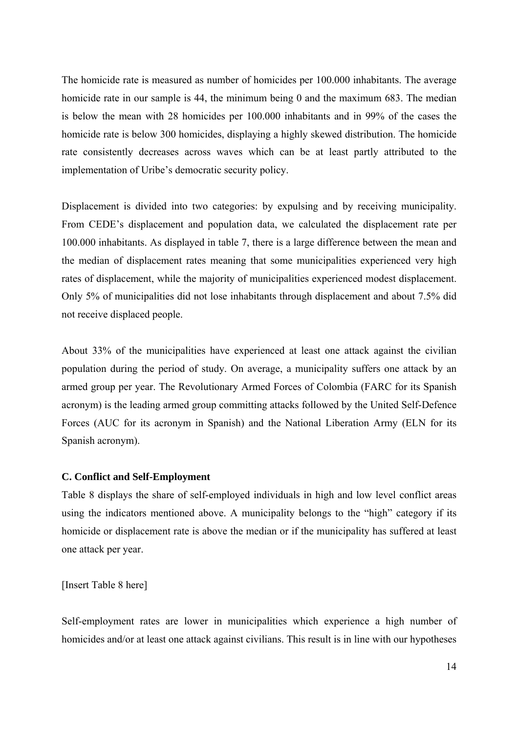The homicide rate is measured as number of homicides per 100.000 inhabitants. The average homicide rate in our sample is 44, the minimum being 0 and the maximum 683. The median is below the mean with 28 homicides per 100.000 inhabitants and in 99% of the cases the homicide rate is below 300 homicides, displaying a highly skewed distribution. The homicide rate consistently decreases across waves which can be at least partly attributed to the implementation of Uribe's democratic security policy.

Displacement is divided into two categories: by expulsing and by receiving municipality. From CEDE's displacement and population data, we calculated the displacement rate per 100.000 inhabitants. As displayed in table 7, there is a large difference between the mean and the median of displacement rates meaning that some municipalities experienced very high rates of displacement, while the majority of municipalities experienced modest displacement. Only 5% of municipalities did not lose inhabitants through displacement and about 7.5% did not receive displaced people.

About 33% of the municipalities have experienced at least one attack against the civilian population during the period of study. On average, a municipality suffers one attack by an armed group per year. The Revolutionary Armed Forces of Colombia (FARC for its Spanish acronym) is the leading armed group committing attacks followed by the United Self-Defence Forces (AUC for its acronym in Spanish) and the National Liberation Army (ELN for its Spanish acronym).

#### **C. Conflict and Self-Employment**

Table 8 displays the share of self-employed individuals in high and low level conflict areas using the indicators mentioned above. A municipality belongs to the "high" category if its homicide or displacement rate is above the median or if the municipality has suffered at least one attack per year.

[Insert Table 8 here]

Self-employment rates are lower in municipalities which experience a high number of homicides and/or at least one attack against civilians. This result is in line with our hypotheses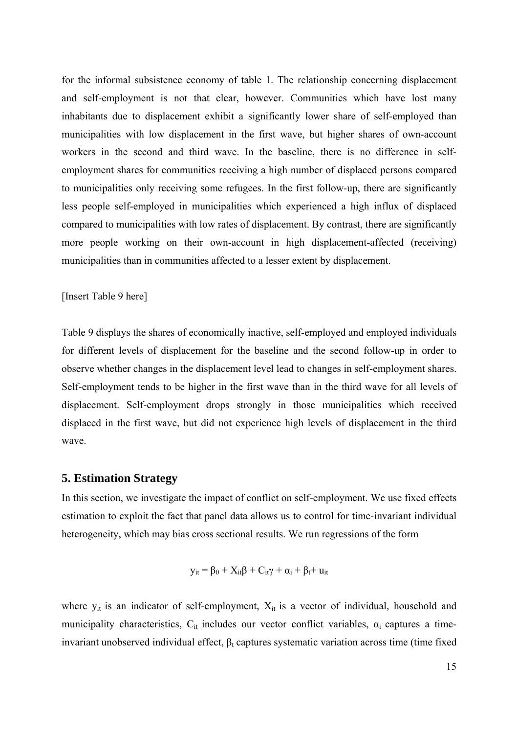for the informal subsistence economy of table 1. The relationship concerning displacement and self-employment is not that clear, however. Communities which have lost many inhabitants due to displacement exhibit a significantly lower share of self-employed than municipalities with low displacement in the first wave, but higher shares of own-account workers in the second and third wave. In the baseline, there is no difference in selfemployment shares for communities receiving a high number of displaced persons compared to municipalities only receiving some refugees. In the first follow-up, there are significantly less people self-employed in municipalities which experienced a high influx of displaced compared to municipalities with low rates of displacement. By contrast, there are significantly more people working on their own-account in high displacement-affected (receiving) municipalities than in communities affected to a lesser extent by displacement.

[Insert Table 9 here]

Table 9 displays the shares of economically inactive, self-employed and employed individuals for different levels of displacement for the baseline and the second follow-up in order to observe whether changes in the displacement level lead to changes in self-employment shares. Self-employment tends to be higher in the first wave than in the third wave for all levels of displacement. Self-employment drops strongly in those municipalities which received displaced in the first wave, but did not experience high levels of displacement in the third wave.

#### **5. Estimation Strategy**

In this section, we investigate the impact of conflict on self-employment. We use fixed effects estimation to exploit the fact that panel data allows us to control for time-invariant individual heterogeneity, which may bias cross sectional results. We run regressions of the form

$$
y_{it} = \beta_0 + X_{it}\beta + C_{it}\gamma + \alpha_i + \beta_t + u_{it}
$$

where  $y_{it}$  is an indicator of self-employment,  $X_{it}$  is a vector of individual, household and municipality characteristics,  $C_{it}$  includes our vector conflict variables,  $\alpha_i$  captures a timeinvariant unobserved individual effect,  $\beta_t$  captures systematic variation across time (time fixed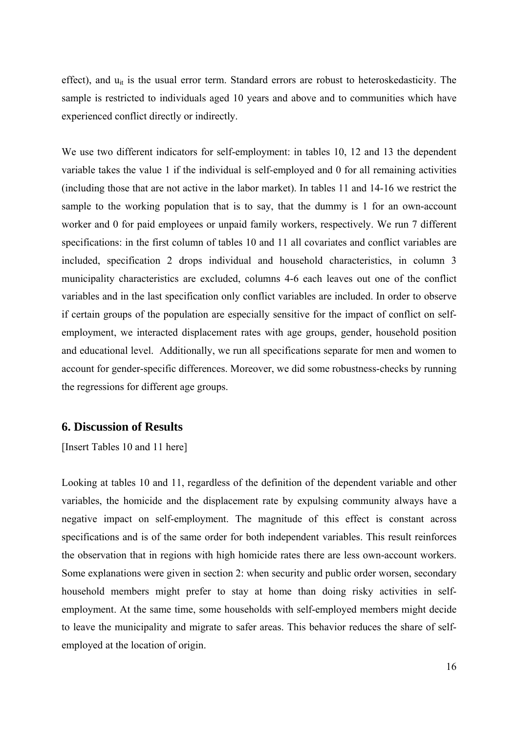effect), and u<sub>it</sub> is the usual error term. Standard errors are robust to heteroskedasticity. The sample is restricted to individuals aged 10 years and above and to communities which have experienced conflict directly or indirectly.

We use two different indicators for self-employment: in tables 10, 12 and 13 the dependent variable takes the value 1 if the individual is self-employed and 0 for all remaining activities (including those that are not active in the labor market). In tables 11 and 14-16 we restrict the sample to the working population that is to say, that the dummy is 1 for an own-account worker and 0 for paid employees or unpaid family workers, respectively. We run 7 different specifications: in the first column of tables 10 and 11 all covariates and conflict variables are included, specification 2 drops individual and household characteristics, in column 3 municipality characteristics are excluded, columns 4-6 each leaves out one of the conflict variables and in the last specification only conflict variables are included. In order to observe if certain groups of the population are especially sensitive for the impact of conflict on selfemployment, we interacted displacement rates with age groups, gender, household position and educational level. Additionally, we run all specifications separate for men and women to account for gender-specific differences. Moreover, we did some robustness-checks by running the regressions for different age groups.

# **6. Discussion of Results**

[Insert Tables 10 and 11 here]

Looking at tables 10 and 11, regardless of the definition of the dependent variable and other variables, the homicide and the displacement rate by expulsing community always have a negative impact on self-employment. The magnitude of this effect is constant across specifications and is of the same order for both independent variables. This result reinforces the observation that in regions with high homicide rates there are less own-account workers. Some explanations were given in section 2: when security and public order worsen, secondary household members might prefer to stay at home than doing risky activities in selfemployment. At the same time, some households with self-employed members might decide to leave the municipality and migrate to safer areas. This behavior reduces the share of selfemployed at the location of origin.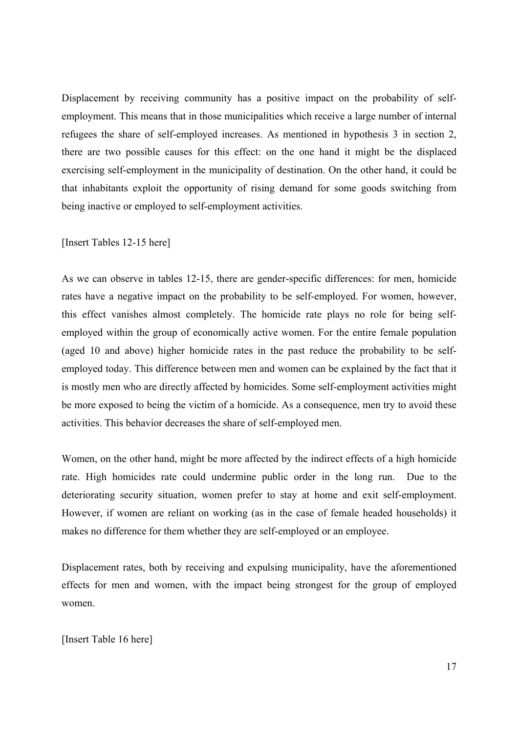Displacement by receiving community has a positive impact on the probability of selfemployment. This means that in those municipalities which receive a large number of internal refugees the share of self-employed increases. As mentioned in hypothesis 3 in section 2, there are two possible causes for this effect: on the one hand it might be the displaced exercising self-employment in the municipality of destination. On the other hand, it could be that inhabitants exploit the opportunity of rising demand for some goods switching from being inactive or employed to self-employment activities.

#### [Insert Tables 12-15 here]

As we can observe in tables 12-15, there are gender-specific differences: for men, homicide rates have a negative impact on the probability to be self-employed. For women, however, this effect vanishes almost completely. The homicide rate plays no role for being selfemployed within the group of economically active women. For the entire female population (aged 10 and above) higher homicide rates in the past reduce the probability to be selfemployed today. This difference between men and women can be explained by the fact that it is mostly men who are directly affected by homicides. Some self-employment activities might be more exposed to being the victim of a homicide. As a consequence, men try to avoid these activities. This behavior decreases the share of self-employed men.

Women, on the other hand, might be more affected by the indirect effects of a high homicide rate. High homicides rate could undermine public order in the long run. Due to the deteriorating security situation, women prefer to stay at home and exit self-employment. However, if women are reliant on working (as in the case of female headed households) it makes no difference for them whether they are self-employed or an employee.

Displacement rates, both by receiving and expulsing municipality, have the aforementioned effects for men and women, with the impact being strongest for the group of employed women.

#### [Insert Table 16 here]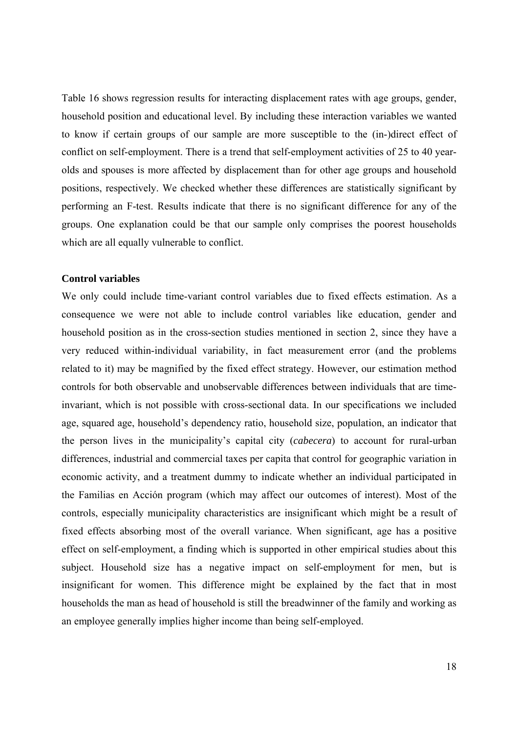Table 16 shows regression results for interacting displacement rates with age groups, gender, household position and educational level. By including these interaction variables we wanted to know if certain groups of our sample are more susceptible to the (in-)direct effect of conflict on self-employment. There is a trend that self-employment activities of 25 to 40 yearolds and spouses is more affected by displacement than for other age groups and household positions, respectively. We checked whether these differences are statistically significant by performing an F-test. Results indicate that there is no significant difference for any of the groups. One explanation could be that our sample only comprises the poorest households which are all equally vulnerable to conflict.

#### **Control variables**

We only could include time-variant control variables due to fixed effects estimation. As a consequence we were not able to include control variables like education, gender and household position as in the cross-section studies mentioned in section 2, since they have a very reduced within-individual variability, in fact measurement error (and the problems related to it) may be magnified by the fixed effect strategy. However, our estimation method controls for both observable and unobservable differences between individuals that are timeinvariant, which is not possible with cross-sectional data. In our specifications we included age, squared age, household's dependency ratio, household size, population, an indicator that the person lives in the municipality's capital city (*cabecera*) to account for rural-urban differences, industrial and commercial taxes per capita that control for geographic variation in economic activity, and a treatment dummy to indicate whether an individual participated in the Familias en Acción program (which may affect our outcomes of interest). Most of the controls, especially municipality characteristics are insignificant which might be a result of fixed effects absorbing most of the overall variance. When significant, age has a positive effect on self-employment, a finding which is supported in other empirical studies about this subject. Household size has a negative impact on self-employment for men, but is insignificant for women. This difference might be explained by the fact that in most households the man as head of household is still the breadwinner of the family and working as an employee generally implies higher income than being self-employed.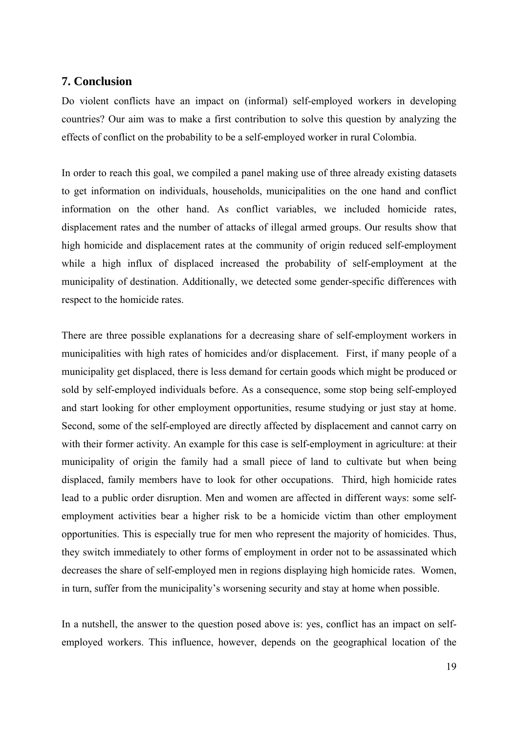### **7. Conclusion**

Do violent conflicts have an impact on (informal) self-employed workers in developing countries? Our aim was to make a first contribution to solve this question by analyzing the effects of conflict on the probability to be a self-employed worker in rural Colombia.

In order to reach this goal, we compiled a panel making use of three already existing datasets to get information on individuals, households, municipalities on the one hand and conflict information on the other hand. As conflict variables, we included homicide rates, displacement rates and the number of attacks of illegal armed groups. Our results show that high homicide and displacement rates at the community of origin reduced self-employment while a high influx of displaced increased the probability of self-employment at the municipality of destination. Additionally, we detected some gender-specific differences with respect to the homicide rates.

There are three possible explanations for a decreasing share of self-employment workers in municipalities with high rates of homicides and/or displacement. First, if many people of a municipality get displaced, there is less demand for certain goods which might be produced or sold by self-employed individuals before. As a consequence, some stop being self-employed and start looking for other employment opportunities, resume studying or just stay at home. Second, some of the self-employed are directly affected by displacement and cannot carry on with their former activity. An example for this case is self-employment in agriculture: at their municipality of origin the family had a small piece of land to cultivate but when being displaced, family members have to look for other occupations. Third, high homicide rates lead to a public order disruption. Men and women are affected in different ways: some selfemployment activities bear a higher risk to be a homicide victim than other employment opportunities. This is especially true for men who represent the majority of homicides. Thus, they switch immediately to other forms of employment in order not to be assassinated which decreases the share of self-employed men in regions displaying high homicide rates. Women, in turn, suffer from the municipality's worsening security and stay at home when possible.

In a nutshell, the answer to the question posed above is: yes, conflict has an impact on selfemployed workers. This influence, however, depends on the geographical location of the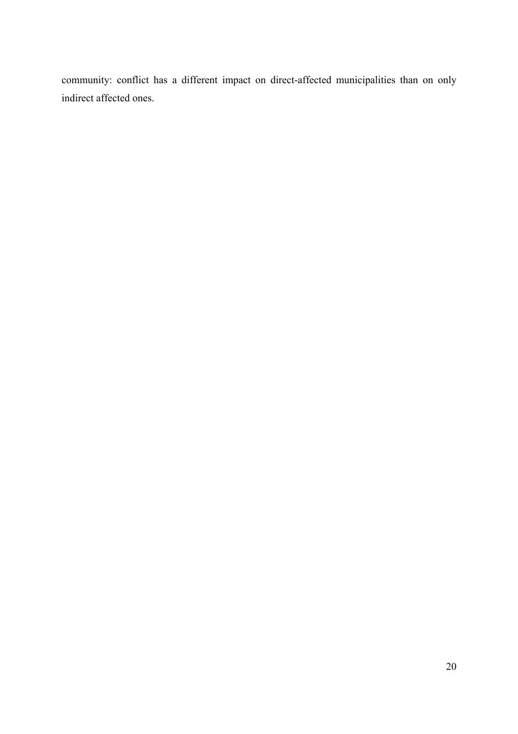community: conflict has a different impact on direct-affected municipalities than on only indirect affected ones.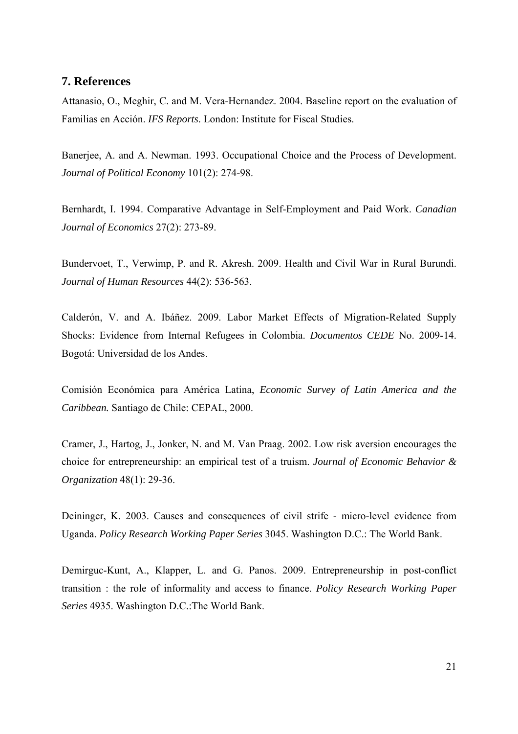### **7. References**

Attanasio, O., Meghir, C. and M. Vera-Hernandez. 2004. Baseline report on the evaluation of Familias en Acción. *IFS Reports*. London: Institute for Fiscal Studies.

Banerjee, A. and A. Newman. 1993. Occupational Choice and the Process of Development. *Journal of Political Economy* 101(2): 274-98.

Bernhardt, I. 1994. Comparative Advantage in Self-Employment and Paid Work. *Canadian Journal of Economics* 27(2): 273-89.

Bundervoet, T., Verwimp, P. and R. Akresh. 2009. Health and Civil War in Rural Burundi. *Journal of Human Resources* 44(2): 536-563.

Calderón, V. and A. Ibáñez. 2009. Labor Market Effects of Migration-Related Supply Shocks: Evidence from Internal Refugees in Colombia. *Documentos CEDE* No. 2009-14. Bogotá: Universidad de los Andes.

Comisión Económica para América Latina, *Economic Survey of Latin America and the Caribbean.* Santiago de Chile: CEPAL, 2000.

Cramer, J., Hartog, J., Jonker, N. and M. Van Praag. 2002. Low risk aversion encourages the choice for entrepreneurship: an empirical test of a truism. *Journal of Economic Behavior & Organization* 48(1): 29-36.

Deininger, K. 2003. Causes and consequences of civil strife - micro-level evidence from Uganda. *Policy Research Working Paper Series* 3045. Washington D.C.: The World Bank.

Demirguc-Kunt, A., Klapper, L. and G. Panos. 2009. Entrepreneurship in post-conflict transition : the role of informality and access to finance. *Policy Research Working Paper Series* 4935. Washington D.C.:The World Bank.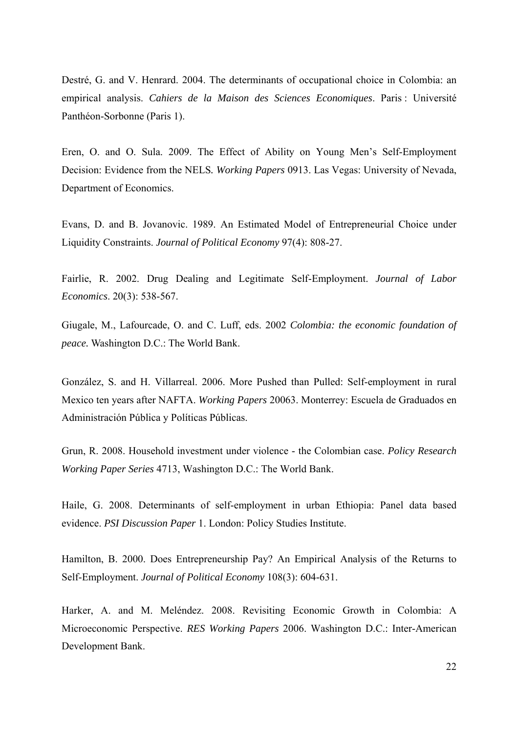Destré, G. and V. Henrard. 2004. The determinants of occupational choice in Colombia: an empirical analysis. *Cahiers de la Maison des Sciences Economiques*. Paris : Université Panthéon-Sorbonne (Paris 1).

Eren, O. and O. Sula. 2009. The Effect of Ability on Young Men's Self-Employment Decision: Evidence from the NELS*. Working Papers* 0913. Las Vegas: University of Nevada, Department of Economics.

Evans, D. and B. Jovanovic. 1989. An Estimated Model of Entrepreneurial Choice under Liquidity Constraints. *Journal of Political Economy* 97(4): 808-27.

Fairlie, R. 2002. Drug Dealing and Legitimate Self-Employment. *Journal of Labor Economics*. 20(3): 538-567.

Giugale, M., Lafourcade, O. and C. Luff, eds. 2002 *Colombia: the economic foundation of peace.* Washington D.C.: The World Bank.

González, S. and H. Villarreal. 2006. More Pushed than Pulled: Self-employment in rural Mexico ten years after NAFTA. *Working Papers* 20063. Monterrey: Escuela de Graduados en Administración Pública y Políticas Públicas.

Grun, R. 2008. Household investment under violence - the Colombian case. *Policy Research Working Paper Series* 4713, Washington D.C.: The World Bank.

Haile, G. 2008. Determinants of self-employment in urban Ethiopia: Panel data based evidence. *PSI Discussion Paper* 1. London: Policy Studies Institute.

Hamilton, B. 2000. Does Entrepreneurship Pay? An Empirical Analysis of the Returns to Self-Employment. *Journal of Political Economy* 108(3): 604-631.

Harker, A. and M. Meléndez. 2008. Revisiting Economic Growth in Colombia: A Microeconomic Perspective. *RES Working Papers* 2006. Washington D.C.: Inter-American Development Bank.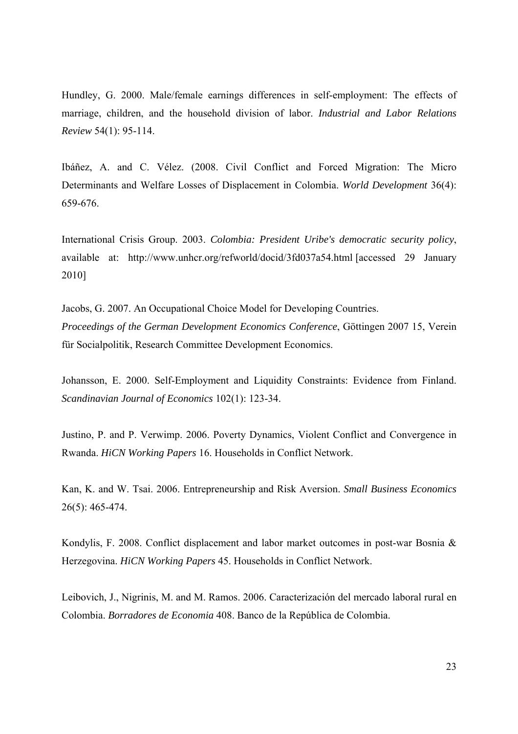Hundley, G. 2000. Male/female earnings differences in self-employment: The effects of marriage, children, and the household division of labor. *Industrial and Labor Relations Review* 54(1): 95-114.

Ibáñez, A. and C. Vélez. (2008. Civil Conflict and Forced Migration: The Micro Determinants and Welfare Losses of Displacement in Colombia. *World Development* 36(4): 659-676.

International Crisis Group. 2003. *Colombia: President Uribe's democratic security policy*, available at: http://www.unhcr.org/refworld/docid/3fd037a54.html [accessed 29 January 2010]

Jacobs, G. 2007. An Occupational Choice Model for Developing Countries. *Proceedings of the German Development Economics Conference*, Göttingen 2007 15, Verein für Socialpolitik, Research Committee Development Economics.

Johansson, E. 2000. Self-Employment and Liquidity Constraints: Evidence from Finland. *Scandinavian Journal of Economics* 102(1): 123-34.

Justino, P. and P. Verwimp. 2006. Poverty Dynamics, Violent Conflict and Convergence in Rwanda. *HiCN Working Papers* 16. Households in Conflict Network.

Kan, K. and W. Tsai. 2006. Entrepreneurship and Risk Aversion. *Small Business Economics* 26(5): 465-474.

Kondylis, F. 2008. Conflict displacement and labor market outcomes in post-war Bosnia & Herzegovina. *HiCN Working Papers* 45. Households in Conflict Network.

Leibovich, J., Nigrinis, M. and M. Ramos. 2006. Caracterización del mercado laboral rural en Colombia. *Borradores de Economia* 408. Banco de la República de Colombia.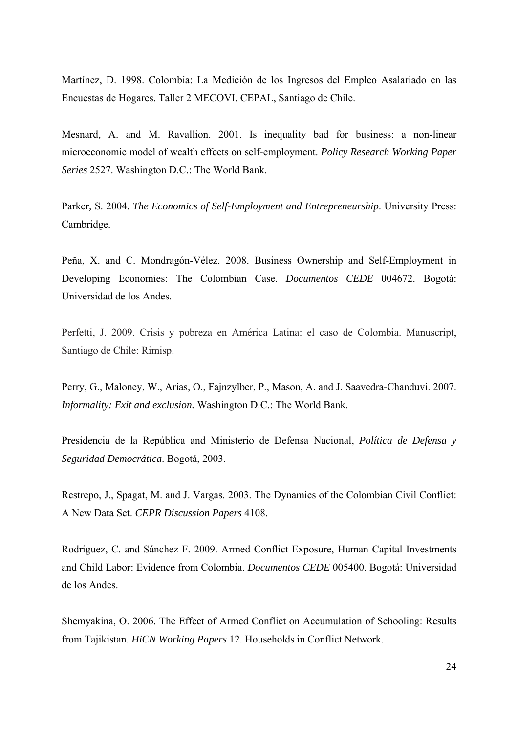Martínez, D. 1998. Colombia: La Medición de los Ingresos del Empleo Asalariado en las Encuestas de Hogares. Taller 2 MECOVI. CEPAL, Santiago de Chile.

Mesnard, A. and M. Ravallion. 2001. Is inequality bad for business: a non-linear microeconomic model of wealth effects on self-employment. *Policy Research Working Paper Series* 2527. Washington D.C.: The World Bank.

Parker*,* S. 2004. *The Economics of Self*-*Employment and Entrepreneurship*. University Press: Cambridge.

Peña, X. and C. Mondragón-Vélez. 2008. Business Ownership and Self-Employment in Developing Economies: The Colombian Case. *Documentos CEDE* 004672. Bogotá: Universidad de los Andes.

Perfetti, J. 2009. Crisis y pobreza en América Latina: el caso de Colombia. Manuscript, Santiago de Chile: Rimisp.

Perry, G., Maloney, W., Arias, O., Fajnzylber, P., Mason, A. and J. Saavedra-Chanduvi. 2007. *Informality: Exit and exclusion.* Washington D.C.: The World Bank.

Presidencia de la República and Ministerio de Defensa Nacional, *Política de Defensa y Seguridad Democrática*. Bogotá, 2003.

Restrepo, J., Spagat, M. and J. Vargas. 2003. The Dynamics of the Colombian Civil Conflict: A New Data Set. *CEPR Discussion Papers* 4108.

Rodríguez, C. and Sánchez F. 2009. Armed Conflict Exposure, Human Capital Investments and Child Labor: Evidence from Colombia. *Documentos CEDE* 005400. Bogotá: Universidad de los Andes.

Shemyakina, O. 2006. The Effect of Armed Conflict on Accumulation of Schooling: Results from Tajikistan. *HiCN Working Papers* 12. Households in Conflict Network.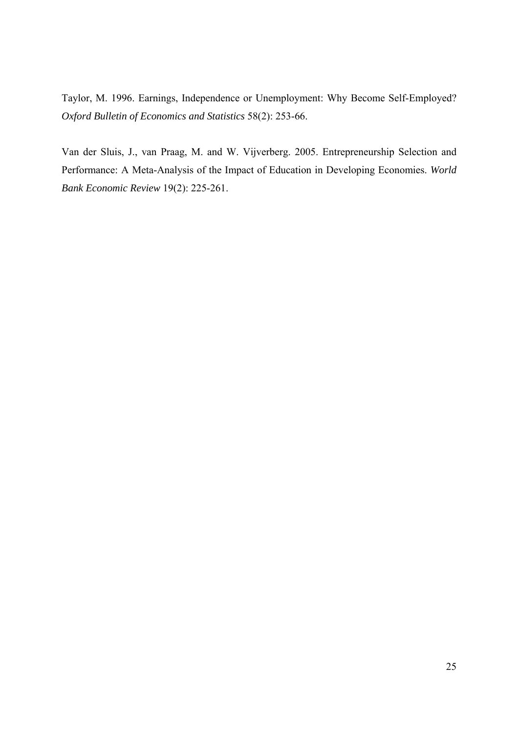Taylor, M. 1996. Earnings, Independence or Unemployment: Why Become Self-Employed? *Oxford Bulletin of Economics and Statistics* 58(2): 253-66.

Van der Sluis, J., van Praag, M. and W. Vijverberg. 2005. Entrepreneurship Selection and Performance: A Meta-Analysis of the Impact of Education in Developing Economies. *World Bank Economic Review* 19(2): 225-261.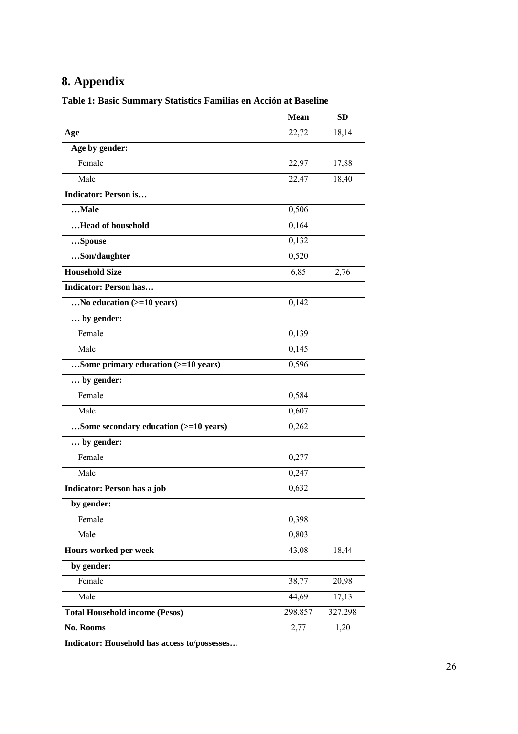# **8. Appendix**

|                                              | <b>Mean</b> | <b>SD</b> |
|----------------------------------------------|-------------|-----------|
| Age                                          | 22,72       | 18,14     |
| Age by gender:                               |             |           |
| Female                                       | 22,97       | 17,88     |
| Male                                         | 22,47       | 18,40     |
| Indicator: Person is                         |             |           |
| $$ Male                                      | 0,506       |           |
| Head of household                            | 0,164       |           |
| Spouse                                       | 0,132       |           |
| Son/daughter                                 | 0,520       |           |
| <b>Household Size</b>                        | 6,85        | 2,76      |
| <b>Indicator: Person has</b>                 |             |           |
| No education (>=10 years)                    | 0,142       |           |
| by gender:                                   |             |           |
| Female                                       | 0,139       |           |
| Male                                         | 0,145       |           |
| Some primary education (>=10 years)          | 0,596       |           |
| by gender:                                   |             |           |
| Female                                       | 0,584       |           |
| Male                                         | 0,607       |           |
| Some secondary education (>=10 years)        | 0,262       |           |
| by gender:                                   |             |           |
| Female                                       | 0,277       |           |
| Male                                         | 0,247       |           |
| Indicator: Person has a job                  | 0,632       |           |
| by gender:                                   |             |           |
| Female                                       | 0,398       |           |
| Male                                         | 0,803       |           |
| Hours worked per week                        | 43,08       | 18,44     |
| by gender:                                   |             |           |
| Female                                       | 38,77       | 20,98     |
| Male                                         | 44,69       | 17,13     |
| <b>Total Household income (Pesos)</b>        | 298.857     | 327.298   |
| No. Rooms                                    | 2,77        | 1,20      |
| Indicator: Household has access to/possesses |             |           |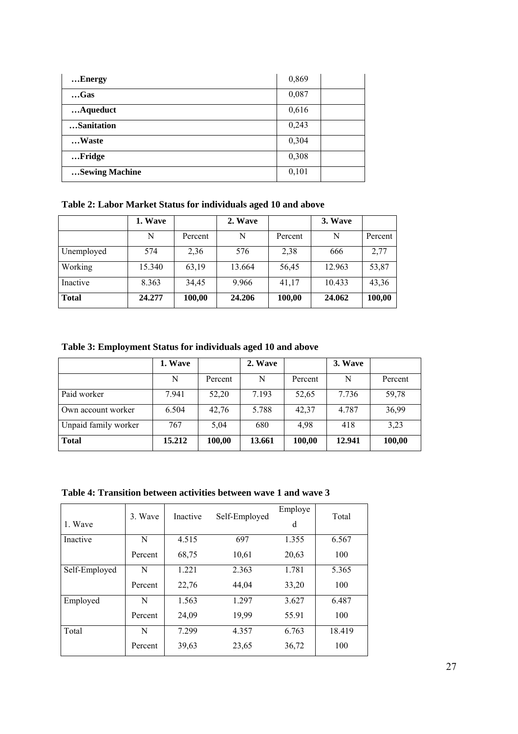| Energy         | 0,869 |
|----------------|-------|
| $$ Gas         | 0,087 |
| Aqueduct       | 0,616 |
| Sanitation     | 0,243 |
| Waste          | 0,304 |
| Fridge         | 0,308 |
| Sewing Machine | 0,101 |

**Table 2: Labor Market Status for individuals aged 10 and above** 

|              | 1. Wave |         | 2. Wave |         | 3. Wave |         |
|--------------|---------|---------|---------|---------|---------|---------|
|              | N       | Percent | N       | Percent | N       | Percent |
| Unemployed   | 574     | 2,36    | 576     | 2,38    | 666     | 2,77    |
| Working      | 15.340  | 63,19   | 13.664  | 56,45   | 12.963  | 53,87   |
| Inactive     | 8.363   | 34,45   | 9.966   | 41,17   | 10.433  | 43,36   |
| <b>Total</b> | 24.277  | 100,00  | 24.206  | 100,00  | 24.062  | 100,00  |

**Table 3: Employment Status for individuals aged 10 and above** 

|                      | 1. Wave |         | 2. Wave |         | 3. Wave |         |
|----------------------|---------|---------|---------|---------|---------|---------|
|                      | N       | Percent | N       | Percent | N       | Percent |
| Paid worker          | 7.941   | 52,20   | 7.193   | 52,65   | 7.736   | 59,78   |
| Own account worker   | 6.504   | 42,76   | 5.788   | 42.37   | 4.787   | 36,99   |
| Unpaid family worker | 767     | 5,04    | 680     | 4.98    | 418     | 3,23    |
| <b>Total</b>         | 15.212  | 100,00  | 13.661  | 100,00  | 12.941  | 100,00  |

**Table 4: Transition between activities between wave 1 and wave 3** 

| 1. Wave       | 3. Wave | Inactive | Self-Employed | Employe<br>d | Total  |
|---------------|---------|----------|---------------|--------------|--------|
| Inactive      | N       | 4.515    | 697           | 1.355        | 6.567  |
|               | Percent | 68,75    | 10,61         | 20,63        | 100    |
| Self-Employed | N       | 1.221    | 2.363         | 1.781        | 5.365  |
|               | Percent | 22,76    | 44,04         | 33,20        | 100    |
| Employed      | N       | 1.563    | 1.297         | 3.627        | 6.487  |
|               | Percent | 24,09    | 19,99         | 55.91        | 100    |
| Total         | N       | 7.299    | 4.357         | 6.763        | 18.419 |
|               | Percent | 39,63    | 23,65         | 36,72        | 100    |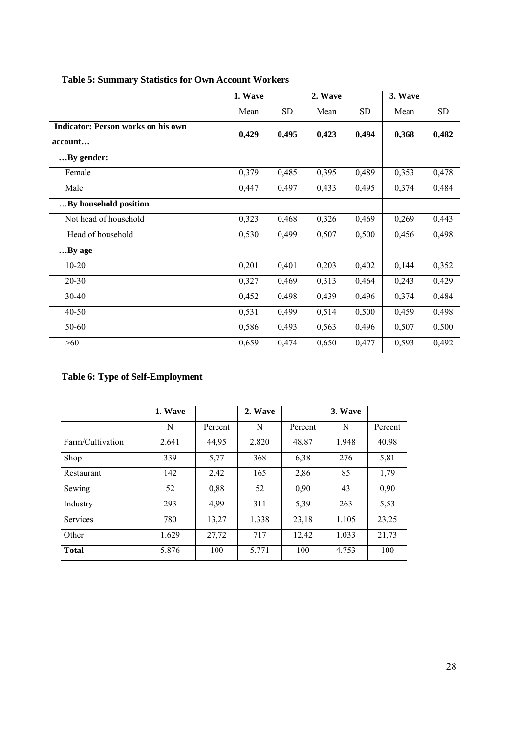|                                                      | 1. Wave |           | 2. Wave |           | 3. Wave |           |
|------------------------------------------------------|---------|-----------|---------|-----------|---------|-----------|
|                                                      | Mean    | <b>SD</b> | Mean    | <b>SD</b> | Mean    | <b>SD</b> |
| <b>Indicator: Person works on his own</b><br>account | 0,429   | 0,495     | 0,423   | 0,494     | 0,368   | 0,482     |
| By gender:                                           |         |           |         |           |         |           |
| Female                                               | 0,379   | 0,485     | 0,395   | 0,489     | 0,353   | 0,478     |
| Male                                                 | 0,447   | 0,497     | 0,433   | 0,495     | 0,374   | 0,484     |
| By household position                                |         |           |         |           |         |           |
| Not head of household                                | 0,323   | 0,468     | 0,326   | 0,469     | 0,269   | 0,443     |
| Head of household                                    | 0,530   | 0,499     | 0,507   | 0,500     | 0,456   | 0,498     |
| By age                                               |         |           |         |           |         |           |
| $10 - 20$                                            | 0,201   | 0,401     | 0,203   | 0,402     | 0,144   | 0,352     |
| $20 - 30$                                            | 0,327   | 0,469     | 0,313   | 0,464     | 0,243   | 0,429     |
| 30-40                                                | 0,452   | 0,498     | 0,439   | 0,496     | 0,374   | 0,484     |
| $40 - 50$                                            | 0,531   | 0,499     | 0,514   | 0,500     | 0,459   | 0,498     |
| 50-60                                                | 0,586   | 0,493     | 0,563   | 0,496     | 0,507   | 0,500     |
| $>60$                                                | 0,659   | 0,474     | 0,650   | 0,477     | 0,593   | 0,492     |

# **Table 5: Summary Statistics for Own Account Workers**

# **Table 6: Type of Self-Employment**

|                  | 1. Wave |         | 2. Wave |         | 3. Wave |         |
|------------------|---------|---------|---------|---------|---------|---------|
|                  | N       | Percent | N       | Percent | N       | Percent |
| Farm/Cultivation | 2.641   | 44,95   | 2.820   | 48.87   | 1.948   | 40.98   |
| Shop             | 339     | 5,77    | 368     | 6,38    | 276     | 5,81    |
| Restaurant       | 142     | 2,42    | 165     | 2,86    | 85      | 1,79    |
| Sewing           | 52      | 0,88    | 52      | 0,90    | 43      | 0,90    |
| Industry         | 293     | 4,99    | 311     | 5,39    | 263     | 5,53    |
| Services         | 780     | 13,27   | 1.338   | 23,18   | 1.105   | 23.25   |
| Other            | 1.629   | 27,72   | 717     | 12,42   | 1.033   | 21,73   |
| <b>Total</b>     | 5.876   | 100     | 5.771   | 100     | 4.753   | 100     |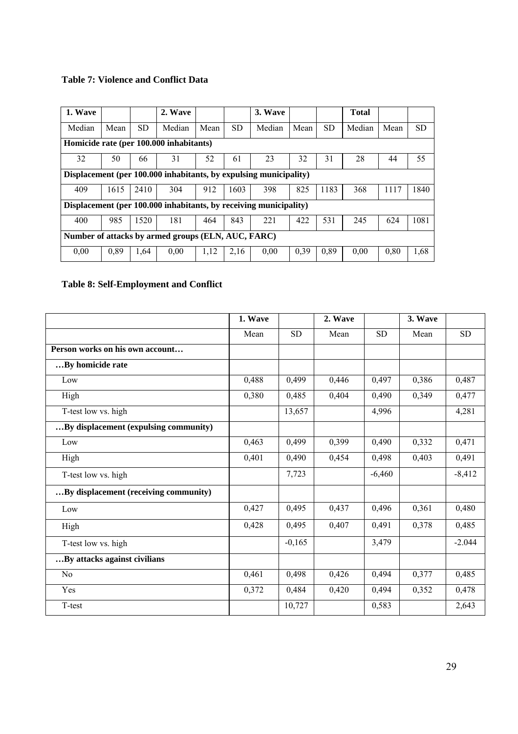# **Table 7: Violence and Conflict Data**

| 1. Wave                                            |      |           | 2. Wave                                                           |      |      | 3. Wave |      |           | <b>Total</b> |      |      |
|----------------------------------------------------|------|-----------|-------------------------------------------------------------------|------|------|---------|------|-----------|--------------|------|------|
| Median                                             | Mean | <b>SD</b> | Median                                                            | Mean | SD.  | Median  | Mean | <b>SD</b> | Median       | Mean | SD   |
| Homicide rate (per 100.000 inhabitants)            |      |           |                                                                   |      |      |         |      |           |              |      |      |
| 32                                                 | 50   | 66        | 31                                                                | 52   | 61   | 23      | 32   | 31        | 28           | 44   | 55   |
|                                                    |      |           | Displacement (per 100.000 inhabitants, by expulsing municipality) |      |      |         |      |           |              |      |      |
| 409                                                | 1615 | 2410      | 304                                                               | 912  | 1603 | 398     | 825  | 1183      | 368          | 1117 | 1840 |
|                                                    |      |           | Displacement (per 100.000 inhabitants, by receiving municipality) |      |      |         |      |           |              |      |      |
| 400                                                | 985  | 1520      | 181                                                               | 464  | 843  | 221     | 422  | 531       | 245          | 624  | 1081 |
| Number of attacks by armed groups (ELN, AUC, FARC) |      |           |                                                                   |      |      |         |      |           |              |      |      |
| 0,00                                               | 0,89 | 1,64      | 0,00                                                              | 1,12 | 2,16 | 0,00    | 0,39 | 0,89      | 0.00         | 0,80 | 1,68 |

# **Table 8: Self-Employment and Conflict**

|                                       | 1. Wave |           | 2. Wave |           | 3. Wave |           |
|---------------------------------------|---------|-----------|---------|-----------|---------|-----------|
|                                       | Mean    | <b>SD</b> | Mean    | <b>SD</b> | Mean    | <b>SD</b> |
| Person works on his own account       |         |           |         |           |         |           |
| By homicide rate                      |         |           |         |           |         |           |
| Low                                   | 0,488   | 0,499     | 0,446   | 0,497     | 0,386   | 0,487     |
| High                                  | 0,380   | 0,485     | 0,404   | 0,490     | 0,349   | 0,477     |
| T-test low vs. high                   |         | 13,657    |         | 4,996     |         | 4,281     |
| By displacement (expulsing community) |         |           |         |           |         |           |
| Low                                   | 0,463   | 0,499     | 0,399   | 0,490     | 0,332   | 0,471     |
| High                                  | 0,401   | 0,490     | 0,454   | 0,498     | 0,403   | 0,491     |
| T-test low vs. high                   |         | 7,723     |         | $-6,460$  |         | $-8,412$  |
| By displacement (receiving community) |         |           |         |           |         |           |
| Low                                   | 0,427   | 0,495     | 0,437   | 0,496     | 0,361   | 0,480     |
| High                                  | 0,428   | 0,495     | 0,407   | 0,491     | 0,378   | 0,485     |
| T-test low vs. high                   |         | $-0,165$  |         | 3,479     |         | $-2.044$  |
| By attacks against civilians          |         |           |         |           |         |           |
| N <sub>0</sub>                        | 0,461   | 0,498     | 0,426   | 0,494     | 0,377   | 0,485     |
| Yes                                   | 0,372   | 0,484     | 0,420   | 0,494     | 0,352   | 0,478     |
| T-test                                |         | 10,727    |         | 0,583     |         | 2,643     |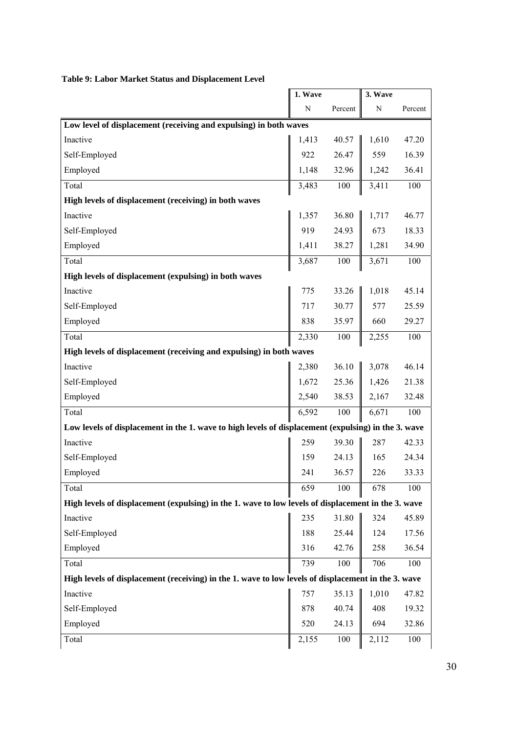|                                                                                                     | 1. Wave     |         | 3. Wave |         |
|-----------------------------------------------------------------------------------------------------|-------------|---------|---------|---------|
|                                                                                                     | $\mathbf N$ | Percent | N       | Percent |
| Low level of displacement (receiving and expulsing) in both waves                                   |             |         |         |         |
| Inactive                                                                                            | 1,413       | 40.57   | 1,610   | 47.20   |
| Self-Employed                                                                                       | 922         | 26.47   | 559     | 16.39   |
| Employed                                                                                            | 1,148       | 32.96   | 1,242   | 36.41   |
| Total                                                                                               | 3,483       | 100     | 3,411   | 100     |
| High levels of displacement (receiving) in both waves                                               |             |         |         |         |
| Inactive                                                                                            | 1,357       | 36.80   | 1,717   | 46.77   |
| Self-Employed                                                                                       | 919         | 24.93   | 673     | 18.33   |
| Employed                                                                                            | 1,411       | 38.27   | 1,281   | 34.90   |
| Total                                                                                               | 3,687       | 100     | 3,671   | 100     |
| High levels of displacement (expulsing) in both waves                                               |             |         |         |         |
| Inactive                                                                                            | 775         | 33.26   | 1,018   | 45.14   |
| Self-Employed                                                                                       | 717         | 30.77   | 577     | 25.59   |
| Employed                                                                                            | 838         | 35.97   | 660     | 29.27   |
| Total                                                                                               | 2,330       | 100     | 2,255   | 100     |
| High levels of displacement (receiving and expulsing) in both waves                                 |             |         |         |         |
| Inactive                                                                                            | 2,380       | 36.10   | 3,078   | 46.14   |
| Self-Employed                                                                                       | 1,672       | 25.36   | 1,426   | 21.38   |
| Employed                                                                                            | 2,540       | 38.53   | 2,167   | 32.48   |
| Total                                                                                               | 6,592       | 100     | 6,671   | 100     |
| Low levels of displacement in the 1. wave to high levels of displacement (expulsing) in the 3. wave |             |         |         |         |
| Inactive                                                                                            | 259         | 39.30   | 287     | 42.33   |
| Self-Employed                                                                                       | 159         | 24.13   | 165     | 24.34   |
| Employed                                                                                            | 241         | 36.57   | 226     | 33.33   |
| Total                                                                                               | 659         | 100     | 678     | 100     |
| High levels of displacement (expulsing) in the 1. wave to low levels of displacement in the 3. wave |             |         |         |         |
| Inactive                                                                                            | 235         | 31.80   | 324     | 45.89   |
| Self-Employed                                                                                       | 188         | 25.44   | 124     | 17.56   |
| Employed                                                                                            | 316         | 42.76   | 258     | 36.54   |
| Total                                                                                               | 739         | 100     | 706     | 100     |
| High levels of displacement (receiving) in the 1, wave to low levels of displacement in the 3, wave |             |         |         |         |
| Inactive                                                                                            | 757         | 35.13   | 1,010   | 47.82   |
| Self-Employed                                                                                       | 878         | 40.74   | 408     | 19.32   |
| Employed                                                                                            | 520         | 24.13   | 694     | 32.86   |
| Total                                                                                               | 2,155       | 100     | 2,112   | 100     |

# **Table 9: Labor Market Status and Displacement Level**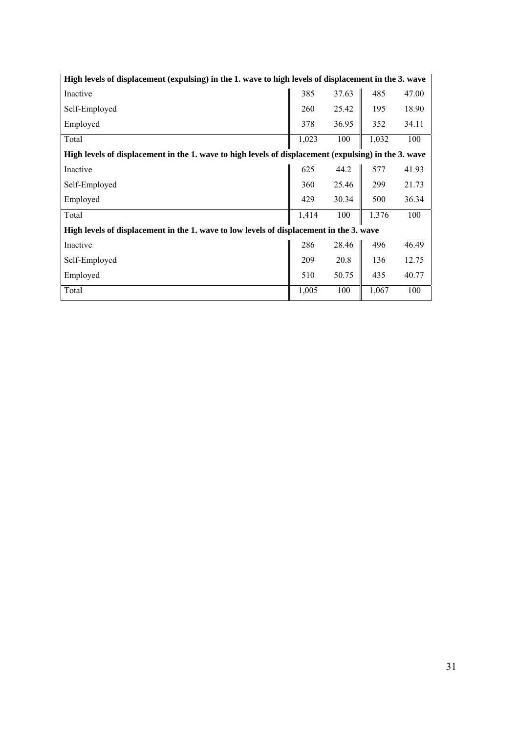| High levels of displacement (expulsing) in the 1. wave to high levels of displacement in the 3. wave |       |       |       |       |  |  |  |
|------------------------------------------------------------------------------------------------------|-------|-------|-------|-------|--|--|--|
| Inactive                                                                                             | 385   | 37.63 | 485   | 47.00 |  |  |  |
| Self-Employed                                                                                        | 260   | 25.42 | 195   | 18.90 |  |  |  |
| Employed                                                                                             | 378   | 36.95 | 352   | 34.11 |  |  |  |
| Total                                                                                                | 1,023 | 100   | 1,032 | 100   |  |  |  |
| High levels of displacement in the 1. wave to high levels of displacement (expulsing) in the 3. wave |       |       |       |       |  |  |  |
| Inactive                                                                                             | 625   | 44.2  | 577   | 41.93 |  |  |  |
| Self-Employed                                                                                        | 360   | 25.46 | 299   | 21.73 |  |  |  |
| Employed                                                                                             | 429   | 30.34 | 500   | 36.34 |  |  |  |
| Total                                                                                                | 1,414 | 100   | 1,376 | 100   |  |  |  |
| High levels of displacement in the 1, wave to low levels of displacement in the 3, wave              |       |       |       |       |  |  |  |
| Inactive                                                                                             | 286   | 28.46 | 496   | 46.49 |  |  |  |
| Self-Employed                                                                                        | 209   | 20.8  | 136   | 12.75 |  |  |  |
| Employed                                                                                             | 510   | 50.75 | 435   | 40.77 |  |  |  |
| Total                                                                                                | 1,005 | 100   | 1,067 | 100   |  |  |  |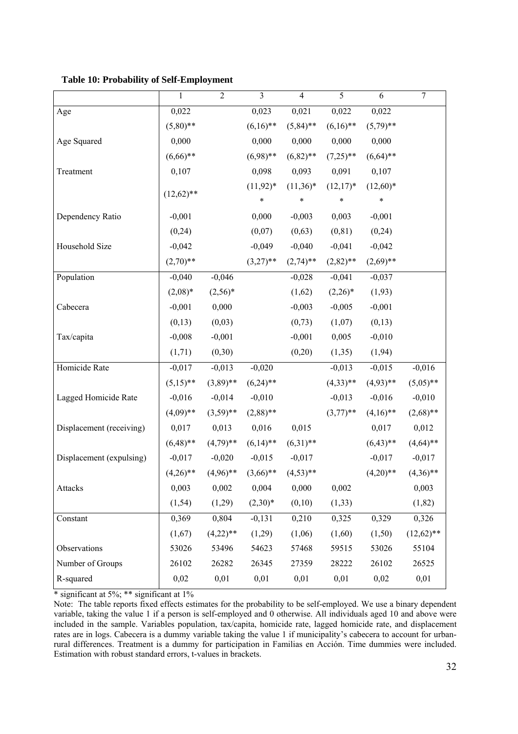**Table 10: Probability of Self-Employment** 

|                          | 1            | $\overline{2}$ | 3            | $\overline{4}$ | 5           | 6           | $\overline{7}$ |
|--------------------------|--------------|----------------|--------------|----------------|-------------|-------------|----------------|
| Age                      | 0,022        |                | 0,023        | 0,021          | 0,022       | 0,022       |                |
|                          | $(5,80)$ **  |                | $(6,16)$ **  | $(5,84)$ **    | $(6,16)$ ** | $(5,79)$ ** |                |
| Age Squared              | 0,000        |                | 0,000        | 0,000          | 0,000       | 0,000       |                |
|                          | $(6,66)$ **  |                | $(6,98)$ **  | $(6,82)$ **    | $(7,25)$ ** | $(6,64)$ ** |                |
| Treatment                | 0,107        |                | 0,098        | 0,093          | 0,091       | 0,107       |                |
|                          |              |                | $(11, 92)^*$ | $(11,36)^*$    | $(12,17)^*$ | $(12,60)*$  |                |
|                          | $(12,62)$ ** |                | $\ast$       | $\ast$         | $\ast$      | $\ast$      |                |
| Dependency Ratio         | $-0,001$     |                | 0,000        | $-0,003$       | 0,003       | $-0,001$    |                |
|                          | (0, 24)      |                | (0,07)       | (0,63)         | (0, 81)     | (0,24)      |                |
| Household Size           | $-0,042$     |                | $-0,049$     | $-0,040$       | $-0,041$    | $-0,042$    |                |
|                          | $(2,70)$ **  |                | $(3,27)$ **  | $(2,74)$ **    | $(2,82)$ ** | $(2,69)$ ** |                |
| Population               | $-0,040$     | $-0,046$       |              | $-0,028$       | $-0,041$    | $-0,037$    |                |
|                          | $(2,08)*$    | $(2,56)^*$     |              | (1,62)         | $(2,26)^*$  | (1, 93)     |                |
| Cabecera                 | $-0,001$     | 0,000          |              | $-0,003$       | $-0,005$    | $-0,001$    |                |
|                          | (0,13)       | (0,03)         |              | (0, 73)        | (1,07)      | (0,13)      |                |
| Tax/capita               | $-0,008$     | $-0,001$       |              | $-0,001$       | 0,005       | $-0,010$    |                |
|                          | (1,71)       | (0,30)         |              | (0,20)         | (1,35)      | (1, 94)     |                |
| Homicide Rate            | $-0,017$     | $-0,013$       | $-0,020$     |                | $-0,013$    | $-0,015$    | $-0,016$       |
|                          | $(5,15)$ **  | $(3,89)$ **    | $(6,24)$ **  |                | $(4,33)$ ** | $(4,93)$ ** | $(5,05)$ **    |
| Lagged Homicide Rate     | $-0,016$     | $-0,014$       | $-0,010$     |                | $-0,013$    | $-0,016$    | $-0,010$       |
|                          | $(4,09)**$   | $(3,59)$ **    | $(2,88)$ **  |                | $(3,77)$ ** | $(4,16)$ ** | $(2,68)$ **    |
| Displacement (receiving) | 0,017        | 0,013          | 0,016        | 0,015          |             | 0,017       | 0,012          |
|                          | $(6,48)$ **  | $(4,79)**$     | $(6,14)$ **  | $(6,31)$ **    |             | $(6,43)$ ** | $(4,64)$ **    |
| Displacement (expulsing) | $-0,017$     | $-0,020$       | $-0,015$     | $-0,017$       |             | $-0,017$    | $-0,017$       |
|                          | $(4,26)$ **  | $(4,96)$ **    | $(3,66)$ **  | $(4,53)$ **    |             | $(4,20)$ ** | $(4,36)$ **    |
| Attacks                  | 0,003        | 0,002          | 0,004        | 0,000          | 0,002       |             | 0,003          |
|                          | (1, 54)      | (1,29)         | $(2,30)*$    | (0,10)         | (1, 33)     |             | (1, 82)        |
| Constant                 | 0,369        | 0,804          | $-0,131$     | 0,210          | 0,325       | 0,329       | 0,326          |
|                          | (1,67)       | $(4,22)$ **    | (1,29)       | (1,06)         | (1,60)      | (1,50)      | $(12,62)$ **   |
| Observations             | 53026        | 53496          | 54623        | 57468          | 59515       | 53026       | 55104          |
| Number of Groups         | 26102        | 26282          | 26345        | 27359          | 28222       | 26102       | 26525          |
| R-squared                | 0,02         | 0,01           | 0,01         | 0,01           | 0,01        | 0,02        | 0,01           |

Note: The table reports fixed effects estimates for the probability to be self-employed. We use a binary dependent variable, taking the value 1 if a person is self-employed and 0 otherwise. All individuals aged 10 and above were included in the sample. Variables population, tax/capita, homicide rate, lagged homicide rate, and displacement rates are in logs. Cabecera is a dummy variable taking the value 1 if municipality's cabecera to account for urbanrural differences. Treatment is a dummy for participation in Familias en Acción. Time dummies were included. Estimation with robust standard errors, t-values in brackets.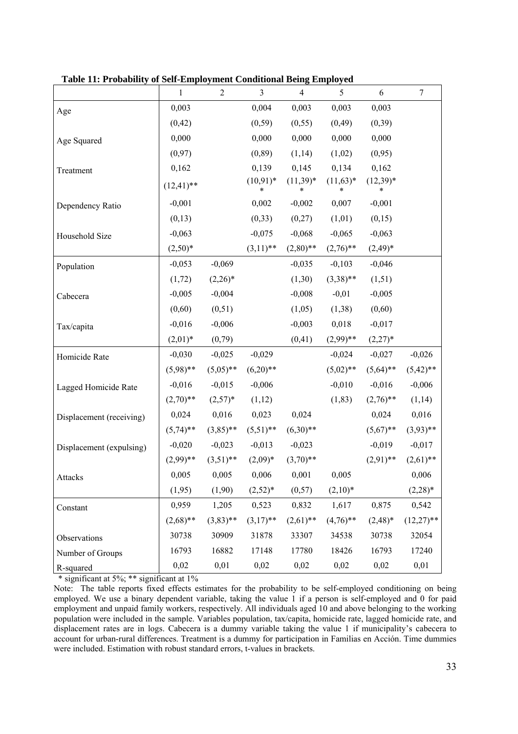|                          | $\mathbf{1}$  | $\sqrt{2}$  | $\mathfrak{Z}$    | $\overline{4}$ | 5               | 6                    | $\boldsymbol{7}$ |
|--------------------------|---------------|-------------|-------------------|----------------|-----------------|----------------------|------------------|
| Age                      | 0,003         |             | 0,004             | 0,003          | 0,003           | 0,003                |                  |
|                          | (0, 42)       |             | (0, 59)           | (0, 55)        | (0, 49)         | (0, 39)              |                  |
| Age Squared              | 0,000         |             | 0,000             | 0,000          | 0,000           | 0,000                |                  |
|                          | (0,97)        |             | (0, 89)           | (1,14)         | (1,02)          | (0, 95)              |                  |
| Treatment                | 0,162         |             | 0,139             | 0,145          | 0,134           | 0,162                |                  |
|                          | $(12, 41)$ ** |             | $(10, 91)^*$<br>* | $(11,39)*$     | $(11,63)*$<br>* | $(12,39)*$<br>$\ast$ |                  |
| Dependency Ratio         | $-0,001$      |             | 0,002             | $-0,002$       | 0,007           | $-0,001$             |                  |
|                          | (0,13)        |             | (0, 33)           | (0,27)         | (1,01)          | (0,15)               |                  |
| Household Size           | $-0,063$      |             | $-0,075$          | $-0,068$       | $-0,065$        | $-0,063$             |                  |
|                          | $(2,50)*$     |             | $(3,11)$ **       | $(2,80)$ **    | $(2,76)$ **     | $(2,49)^*$           |                  |
| Population               | $-0,053$      | $-0,069$    |                   | $-0,035$       | $-0,103$        | $-0,046$             |                  |
|                          | (1,72)        | $(2,26)^*$  |                   | (1,30)         | $(3,38)$ **     | (1,51)               |                  |
| Cabecera                 | $-0,005$      | $-0,004$    |                   | $-0,008$       | $-0,01$         | $-0,005$             |                  |
|                          | (0,60)        | (0,51)      |                   | (1,05)         | (1,38)          | (0,60)               |                  |
| Tax/capita               | $-0,016$      | $-0,006$    |                   | $-0,003$       | 0,018           | $-0,017$             |                  |
|                          | $(2,01)^*$    | (0,79)      |                   | (0, 41)        | $(2,99)$ **     | $(2,27)^*$           |                  |
| Homicide Rate            | $-0,030$      | $-0,025$    | $-0,029$          |                | $-0,024$        | $-0,027$             | $-0,026$         |
|                          | $(5,98)$ **   | $(5,05)$ ** | $(6,20)**$        |                | $(5,02)$ **     | $(5,64)$ **          | $(5,42)$ **      |
| Lagged Homicide Rate     | $-0,016$      | $-0,015$    | $-0,006$          |                | $-0,010$        | $-0,016$             | $-0,006$         |
|                          | $(2,70)$ **   | $(2,57)^*$  | (1,12)            |                | (1, 83)         | $(2,76)$ **          | (1,14)           |
| Displacement (receiving) | 0,024         | 0,016       | 0,023             | 0,024          |                 | 0,024                | 0,016            |
|                          | $(5,74)$ **   | $(3,85)$ ** | $(5,51)$ **       | $(6,30)**$     |                 | $(5,67)$ **          | $(3,93)$ **      |
| Displacement (expulsing) | $-0,020$      | $-0,023$    | $-0,013$          | $-0,023$       |                 | $-0,019$             | $-0,017$         |
|                          | $(2,99)$ **   | $(3,51)$ ** | $(2,09)^*$        | $(3,70)**$     |                 | $(2,91)$ **          | $(2,61)$ **      |
| Attacks                  | 0,005         | 0,005       | 0,006             | 0,001          | 0,005           |                      | 0,006            |
|                          | (1,95)        | (1,90)      | $(2,52)*$         | (0,57)         | $(2,10)*$       |                      | $(2,28)*$        |
| Constant                 | 0,959         | 1,205       | 0,523             | 0,832          | 1,617           | 0,875                | 0,542            |
|                          | $(2,68)$ **   | $(3,83)$ ** | $(3,17)$ **       | $(2,61)$ **    | $(4,76)$ **     | $(2,48)^*$           | $(12,27)$ **     |
| Observations             | 30738         | 30909       | 31878             | 33307          | 34538           | 30738                | 32054            |
| Number of Groups         | 16793         | 16882       | 17148             | 17780          | 18426           | 16793                | 17240            |
| R-squared                | 0,02          | 0,01        | 0,02              | 0,02           | 0,02            | 0,02                 | 0,01             |

**Table 11: Probability of Self-Employment Conditional Being Employed** 

Note: The table reports fixed effects estimates for the probability to be self-employed conditioning on being employed. We use a binary dependent variable, taking the value 1 if a person is self-employed and 0 for paid employment and unpaid family workers, respectively. All individuals aged 10 and above belonging to the working population were included in the sample. Variables population, tax/capita, homicide rate, lagged homicide rate, and displacement rates are in logs. Cabecera is a dummy variable taking the value 1 if municipality's cabecera to account for urban-rural differences. Treatment is a dummy for participation in Familias en Acción. Time dummies were included. Estimation with robust standard errors, t-values in brackets.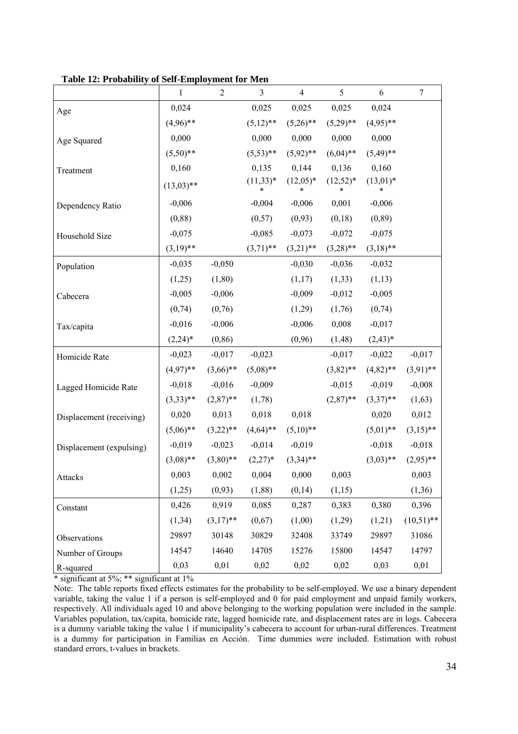|                          | $\mathbf{1}$ | $\mathbf{2}$ | 3               | $\overline{4}$  | 5               | $\sqrt{6}$      | $\tau$       |
|--------------------------|--------------|--------------|-----------------|-----------------|-----------------|-----------------|--------------|
| Age                      | 0,024        |              | 0,025           | 0,025           | 0,025           | 0,024           |              |
|                          | $(4,96)$ **  |              | $(5,12)$ **     | $(5,26)$ **     | $(5,29)$ **     | $(4,95)$ **     |              |
| Age Squared              | 0,000        |              | 0,000           | 0,000           | 0,000           | 0,000           |              |
|                          | $(5,50)$ **  |              | $(5,53)$ **     | $(5,92)$ **     | $(6,04)$ **     | $(5,49)$ **     |              |
| Treatment                | 0,160        |              | 0,135           | 0,144           | 0,136           | 0,160           |              |
|                          | $(13,03)$ ** |              | $(11,33)*$<br>* | $(12,05)*$      | $(12,52)*$<br>* | $(13,01)*$<br>* |              |
| Dependency Ratio         | $-0,006$     |              | $-0,004$        | $-0,006$        | 0,001           | $-0,006$        |              |
|                          | (0, 88)      |              | (0,57)          | (0,93)          | (0,18)          | (0, 89)         |              |
| Household Size           | $-0,075$     |              | $-0,085$        | $-0,073$        | $-0,072$        | $-0,075$        |              |
|                          | $(3,19)$ **  |              | $(3,71)$ **     | $(3,21)$ **     | $(3,28)$ **     | $(3,18)$ **     |              |
| Population               | $-0,035$     | $-0,050$     |                 | $-0,030$        | $-0,036$        | $-0,032$        |              |
|                          | (1,25)       | (1, 80)      |                 | (1,17)          | (1, 33)         | (1,13)          |              |
| Cabecera                 | $-0,005$     | $-0,006$     |                 | $-0,009$        | $-0,012$        | $-0,005$        |              |
|                          | (0, 74)      | (0,76)       |                 | (1,29)          | (1,76)          | (0, 74)         |              |
| Tax/capita               | $-0,016$     | $-0,006$     |                 | $-0,006$        | 0,008           | $-0,017$        |              |
|                          | $(2,24)^*$   | (0, 86)      |                 | (0,96)          | (1,48)          | $(2,43)*$       |              |
| Homicide Rate            | $-0,023$     | $-0,017$     | $-0,023$        |                 | $-0,017$        | $-0,022$        | $-0,017$     |
|                          | $(4,97)$ **  | $(3,66)$ **  | $(5,08)$ **     |                 | $(3,82)$ **     | $(4,82)$ **     | $(3,91)$ **  |
| Lagged Homicide Rate     | $-0,018$     | $-0,016$     | $-0,009$        |                 | $-0,015$        | $-0,019$        | $-0,008$     |
|                          | $(3,33)$ **  | $(2,87)$ **  | (1,78)          |                 | $(2,87)$ **     | $(3,37)$ **     | (1,63)       |
| Displacement (receiving) | 0,020        | 0,013        | 0,018           | 0,018           |                 | 0,020           | 0,012        |
|                          | $(5,06)$ **  | $(3,22)$ **  | $(4,64)$ **     | $(5,10)**$      |                 | $(5,01)$ **     | $(3,15)$ **  |
| Displacement (expulsing) | $-0,019$     | $-0,023$     | $-0,014$        | $-0,019$        |                 | $-0,018$        | $-0,018$     |
|                          | $(3,08)$ **  | $(3,80)$ **  | $(2,27)^*$      | $(3,34)$ **     |                 | $(3,03)$ **     | $(2,95)$ **  |
| Attacks                  | 0,003        | 0,002        | 0,004           | $0,000$ $0,003$ |                 |                 | 0,003        |
|                          | (1,25)       | (0,93)       | (1, 88)         | (0,14)          | (1,15)          |                 | (1,36)       |
| Constant                 | 0,426        | 0,919        | 0,085           | 0,287           | 0,383           | 0,380           | 0,396        |
|                          | (1, 34)      | $(3,17)$ **  | (0,67)          | (1,00)          | (1,29)          | (1,21)          | $(10,51)$ ** |
| Observations             | 29897        | 30148        | 30829           | 32408           | 33749           | 29897           | 31086        |
| Number of Groups         | 14547        | 14640        | 14705           | 15276           | 15800           | 14547           | 14797        |
| R-squared                | 0,03         | 0,01         | 0,02            | 0,02            | 0,02            | 0,03            | 0,01         |

**Table 12: Probability of Self-Employment for Men** 

Note: The table reports fixed effects estimates for the probability to be self-employed. We use a binary dependent variable, taking the value 1 if a person is self-employed and 0 for paid employment and unpaid family workers, respectively. All individuals aged 10 and above belonging to the working population were included in the sample. Variables population, tax/capita, homicide rate, lagged homicide rate, and displacement rates are in logs. Cabecera is a dummy variable taking the value 1 if municipality's cabecera to account for urban-rural differences. Treatment is a dummy for participation in Familias en Acción. Time dummies were included. Estimation with robust standard errors, t-values in brackets.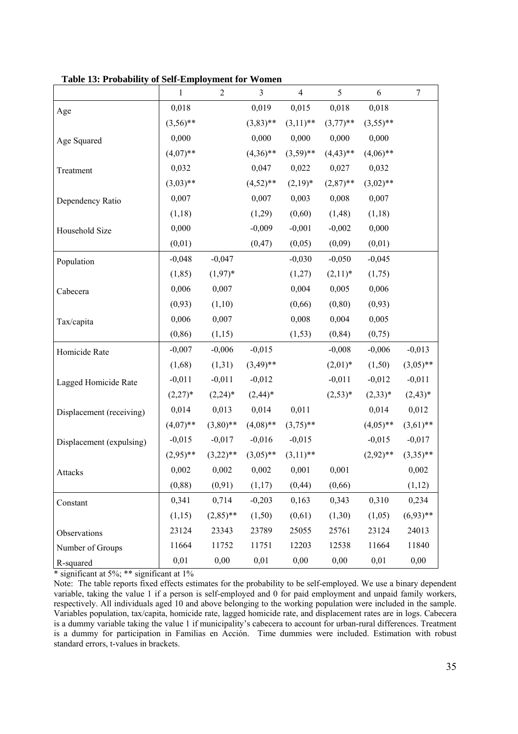|                          | $\mathbf{1}$ | $\mathbf{2}$ | $\mathfrak{Z}$ | $\overline{\mathcal{A}}$ | $\mathfrak s$ | 6           | 7           |
|--------------------------|--------------|--------------|----------------|--------------------------|---------------|-------------|-------------|
| Age                      | 0,018        |              | 0,019          | 0,015                    | 0,018         | 0,018       |             |
|                          | $(3,56)$ **  |              | $(3,83)$ **    | $(3,11)$ **              | $(3,77)$ **   | $(3,55)$ ** |             |
| Age Squared              | 0,000        |              | 0,000          | 0,000                    | 0,000         | 0,000       |             |
|                          | $(4,07)$ **  |              | $(4,36)$ **    | $(3,59)$ **              | $(4,43)$ **   | $(4,06)$ ** |             |
| Treatment                | 0,032        |              | 0,047          | 0,022                    | 0,027         | 0,032       |             |
|                          | $(3,03)$ **  |              | $(4,52)$ **    | $(2,19)^*$               | $(2,87)$ **   | $(3,02)$ ** |             |
| Dependency Ratio         | 0,007        |              | 0,007          | 0,003                    | 0,008         | 0,007       |             |
|                          | (1,18)       |              | (1,29)         | (0,60)                   | (1, 48)       | (1,18)      |             |
| Household Size           | 0,000        |              | $-0,009$       | $-0,001$                 | $-0,002$      | 0,000       |             |
|                          | (0,01)       |              | (0, 47)        | (0,05)                   | (0,09)        | (0,01)      |             |
| Population               | $-0,048$     | $-0,047$     |                | $-0,030$                 | $-0,050$      | $-0,045$    |             |
|                          | (1, 85)      | $(1,97)^*$   |                | (1,27)                   | $(2,11)^*$    | (1,75)      |             |
| Cabecera                 | 0,006        | 0,007        |                | 0,004                    | 0,005         | 0,006       |             |
|                          | (0,93)       | (1,10)       |                | (0, 66)                  | (0, 80)       | (0, 93)     |             |
| Tax/capita               | 0,006        | 0,007        |                | 0,008                    | 0,004         | 0,005       |             |
|                          | (0, 86)      | (1,15)       |                | (1, 53)                  | (0, 84)       | (0,75)      |             |
| Homicide Rate            | $-0,007$     | $-0,006$     | $-0,015$       |                          | $-0,008$      | $-0,006$    | $-0,013$    |
|                          | (1,68)       | (1,31)       | $(3,49)$ **    |                          | $(2,01)^*$    | (1,50)      | $(3,05)$ ** |
| Lagged Homicide Rate     | $-0,011$     | $-0,011$     | $-0,012$       |                          | $-0,011$      | $-0,012$    | $-0,011$    |
|                          | $(2,27)^*$   | $(2,24)^*$   | $(2,44)^*$     |                          | $(2,53)*$     | $(2,33)*$   | $(2,43)*$   |
| Displacement (receiving) | 0,014        | 0,013        | 0,014          | 0,011                    |               | 0,014       | 0,012       |
|                          | $(4,07)$ **  | $(3,80)$ **  | $(4,08)$ **    | $(3,75)$ **              |               | $(4,05)$ ** | $(3,61)$ ** |
| Displacement (expulsing) | $-0,015$     | $-0,017$     | $-0,016$       | $-0,015$                 |               | $-0,015$    | $-0,017$    |
|                          | $(2,95)$ **  | $(3,22)$ **  | $(3,05)$ **    | $(3,11)$ **              |               | $(2,92)$ ** | $(3,35)$ ** |
| Attacks                  | 0,002        | 0,002        | 0,002          | 0,001                    | 0,001         |             | 0,002       |
|                          | (0, 88)      | (0, 91)      | (1,17)         | (0, 44)                  | (0, 66)       |             | (1,12)      |
| Constant                 | 0,341        | 0,714        | $-0,203$       | 0,163                    | 0,343         | 0,310       | 0,234       |
|                          | (1,15)       | $(2,85)$ **  | (1,50)         | (0,61)                   | (1,30)        | (1,05)      | $(6,93)$ ** |
| Observations             | 23124        | 23343        | 23789          | 25055                    | 25761         | 23124       | 24013       |
| Number of Groups         | 11664        | 11752        | 11751          | 12203                    | 12538         | 11664       | 11840       |
| R-squared                | 0,01         | 0,00         | 0,01           | 0,00                     | 0,00          | 0,01        | 0,00        |

**Table 13: Probability of Self-Employment for Women** 

Note: The table reports fixed effects estimates for the probability to be self-employed. We use a binary dependent variable, taking the value 1 if a person is self-employed and 0 for paid employment and unpaid family workers, respectively. All individuals aged 10 and above belonging to the working population were included in the sample. Variables population, tax/capita, homicide rate, lagged homicide rate, and displacement rates are in logs. Cabecera is a dummy variable taking the value 1 if municipality's cabecera to account for urban-rural differences. Treatment is a dummy for participation in Familias en Acción. Time dummies were included. Estimation with robust standard errors, t-values in brackets.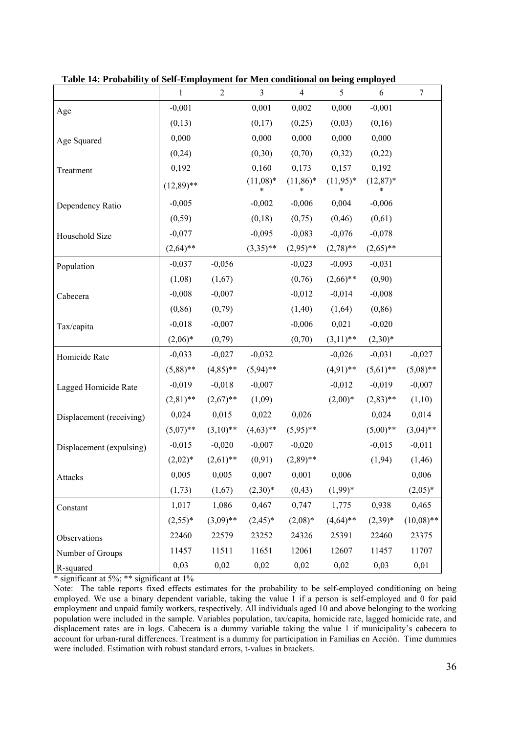|                          | $\mathbf{1}$ | $\overline{2}$ | $\mathfrak{Z}$       | $\overline{4}$  | 5                | 6               | $\boldsymbol{7}$ |
|--------------------------|--------------|----------------|----------------------|-----------------|------------------|-----------------|------------------|
| Age                      | $-0,001$     |                | 0,001                | 0,002           | 0,000            | $-0,001$        |                  |
|                          | (0,13)       |                | (0,17)               | (0,25)          | (0,03)           | (0,16)          |                  |
| Age Squared              | 0,000        |                | 0,000                | 0,000           | 0,000            | 0,000           |                  |
|                          | (0, 24)      |                | (0,30)               | (0,70)          | (0,32)           | (0,22)          |                  |
| Treatment                | 0,192        |                | 0,160                | 0,173           | 0,157            | 0,192           |                  |
|                          | $(12,89)$ ** |                | $(11,08)*$<br>$\ast$ | $(11,86)*$<br>* | $(11,95)^*$<br>* | $(12,87)*$<br>* |                  |
| Dependency Ratio         | $-0,005$     |                | $-0,002$             | $-0,006$        | 0,004            | $-0,006$        |                  |
|                          | (0, 59)      |                | (0,18)               | (0,75)          | (0, 46)          | (0,61)          |                  |
| Household Size           | $-0,077$     |                | $-0,095$             | $-0,083$        | $-0,076$         | $-0,078$        |                  |
|                          | $(2,64)$ **  |                | $(3,35)$ **          | $(2,95)$ **     | $(2,78)$ **      | $(2,65)$ **     |                  |
| Population               | $-0,037$     | $-0,056$       |                      | $-0,023$        | $-0,093$         | $-0,031$        |                  |
|                          | (1,08)       | (1,67)         |                      | (0,76)          | $(2,66)$ **      | (0,90)          |                  |
| Cabecera                 | $-0,008$     | $-0,007$       |                      | $-0,012$        | $-0,014$         | $-0,008$        |                  |
|                          | (0, 86)      | (0,79)         |                      | (1,40)          | (1,64)           | (0, 86)         |                  |
| Tax/capita               | $-0,018$     | $-0,007$       |                      | $-0,006$        | 0,021            | $-0,020$        |                  |
|                          | $(2,06)^*$   | (0,79)         |                      | (0,70)          | $(3,11)$ **      | $(2,30)*$       |                  |
| Homicide Rate            | $-0,033$     | $-0,027$       | $-0,032$             |                 | $-0,026$         | $-0,031$        | $-0,027$         |
|                          | $(5,88)$ **  | $(4,85)$ **    | $(5,94)$ **          |                 | $(4,91)$ **      | $(5,61)$ **     | $(5,08)$ **      |
| Lagged Homicide Rate     | $-0,019$     | $-0,018$       | $-0,007$             |                 | $-0,012$         | $-0,019$        | $-0,007$         |
|                          | $(2,81)$ **  | $(2,67)$ **    | (1,09)               |                 | $(2,00)*$        | $(2,83)$ **     | (1,10)           |
| Displacement (receiving) | 0,024        | 0,015          | 0,022                | 0,026           |                  | 0,024           | 0,014            |
|                          | $(5,07)$ **  | $(3,10)**$     | $(4,63)$ **          | $(5,95)$ **     |                  | $(5,00)$ **     | $(3,04)$ **      |
| Displacement (expulsing) | $-0,015$     | $-0,020$       | $-0,007$             | $-0,020$        |                  | $-0,015$        | $-0,011$         |
|                          | $(2,02)^*$   | $(2,61)$ **    | (0, 91)              | $(2,89)$ **     |                  | (1, 94)         | (1,46)           |
| Attacks                  | 0,005        | 0,005          | 0,007                | $0,\!001$       | 0,006            |                 | 0,006            |
|                          | (1,73)       | (1,67)         | $(2,30)*$            | (0, 43)         | $(1,99)^*$       |                 | $(2,05)^*$       |
| Constant                 | 1,017        | 1,086          | 0,467                | 0,747           | 1,775            | 0,938           | 0,465            |
|                          | $(2,55)^*$   | $(3,09)$ **    | $(2,45)^*$           | $(2,08)*$       | $(4,64)$ **      | $(2,39)^*$      | $(10,08)$ **     |
| Observations             | 22460        | 22579          | 23252                | 24326           | 25391            | 22460           | 23375            |
| Number of Groups         | 11457        | 11511          | 11651                | 12061           | 12607            | 11457           | 11707            |
| R-squared                | 0,03         | 0,02           | 0,02                 | 0,02            | 0,02             | 0,03            | 0,01             |

**Table 14: Probability of Self-Employment for Men conditional on being employed** 

Note: The table reports fixed effects estimates for the probability to be self-employed conditioning on being employed. We use a binary dependent variable, taking the value 1 if a person is self-employed and 0 for paid employment and unpaid family workers, respectively. All individuals aged 10 and above belonging to the working population were included in the sample. Variables population, tax/capita, homicide rate, lagged homicide rate, and displacement rates are in logs. Cabecera is a dummy variable taking the value 1 if municipality's cabecera to account for urban-rural differences. Treatment is a dummy for participation in Familias en Acción. Time dummies were included. Estimation with robust standard errors, t-values in brackets.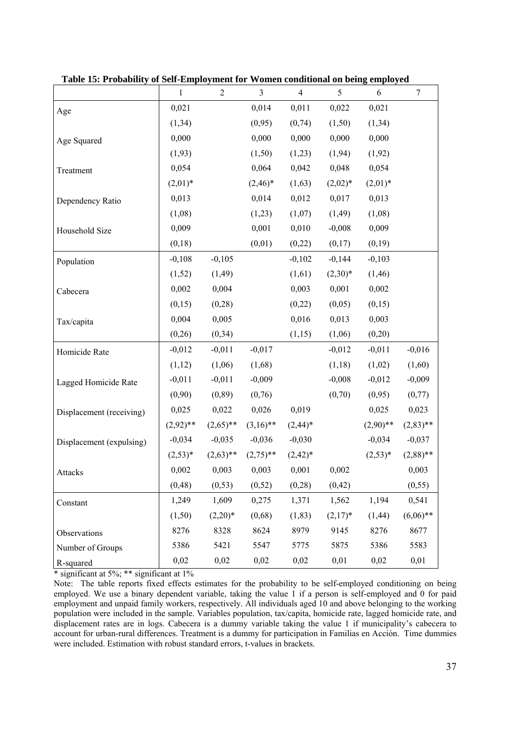|                          | $\mathbf{1}$ | $\overline{2}$ | $\mathfrak{Z}$ | $\overline{4}$ | 5          | 6           | $\boldsymbol{7}$ |
|--------------------------|--------------|----------------|----------------|----------------|------------|-------------|------------------|
| Age                      | 0,021        |                | 0,014          | 0,011          | 0,022      | 0,021       |                  |
|                          | (1, 34)      |                | (0,95)         | (0, 74)        | (1,50)     | (1, 34)     |                  |
| Age Squared              | 0,000        |                | 0,000          | 0,000          | 0,000      | 0,000       |                  |
|                          | (1,93)       |                | (1,50)         | (1,23)         | (1, 94)    | (1,92)      |                  |
| Treatment                | 0,054        |                | 0,064          | 0,042          | 0,048      | 0,054       |                  |
|                          | $(2,01)^*$   |                | $(2,46)^*$     | (1,63)         | $(2,02)^*$ | $(2,01)^*$  |                  |
| Dependency Ratio         | 0,013        |                | 0,014          | 0,012          | 0,017      | 0,013       |                  |
|                          | (1,08)       |                | (1,23)         | (1,07)         | (1,49)     | (1,08)      |                  |
| Household Size           | 0,009        |                | 0,001          | 0,010          | $-0,008$   | 0,009       |                  |
|                          | (0,18)       |                | (0,01)         | (0,22)         | (0,17)     | (0,19)      |                  |
| Population               | $-0,108$     | $-0,105$       |                | $-0,102$       | $-0,144$   | $-0,103$    |                  |
|                          | (1,52)       | (1,49)         |                | (1,61)         | $(2,30)*$  | (1, 46)     |                  |
| Cabecera                 | 0,002        | 0,004          |                | 0,003          | 0,001      | 0,002       |                  |
|                          | (0,15)       | (0, 28)        |                | (0,22)         | (0,05)     | (0,15)      |                  |
| Tax/capita               | 0,004        | 0,005          |                | 0,016          | 0,013      | 0,003       |                  |
|                          | (0, 26)      | (0, 34)        |                | (1,15)         | (1,06)     | (0,20)      |                  |
| Homicide Rate            | $-0,012$     | $-0,011$       | $-0,017$       |                | $-0,012$   | $-0,011$    | $-0,016$         |
|                          | (1,12)       | (1,06)         | (1,68)         |                | (1,18)     | (1,02)      | (1,60)           |
| Lagged Homicide Rate     | $-0,011$     | $-0,011$       | $-0,009$       |                | $-0,008$   | $-0,012$    | $-0,009$         |
|                          | (0,90)       | (0, 89)        | (0,76)         |                | (0,70)     | (0,95)      | (0,77)           |
| Displacement (receiving) | 0,025        | 0,022          | 0,026          | 0,019          |            | 0,025       | 0,023            |
|                          | $(2,92)$ **  | $(2,65)$ **    | $(3,16)$ **    | $(2,44)^*$     |            | $(2,90)$ ** | $(2,83)$ **      |
| Displacement (expulsing) | $-0,034$     | $-0,035$       | $-0,036$       | $-0,030$       |            | $-0,034$    | $-0,037$         |
|                          | $(2,53)*$    | $(2,63)$ **    | $(2,75)$ **    | $(2,42)^*$     |            | $(2,53)*$   | $(2,88)$ **      |
| Attacks                  | 0,002        | 0,003          | 0,003          | 0,001          | 0,002      |             | 0,003            |
|                          | (0, 48)      | (0, 53)        | (0, 52)        | (0, 28)        | (0, 42)    |             | (0, 55)          |
| Constant                 | 1,249        | 1,609          | 0,275          | 1,371          | 1,562      | 1,194       | 0,541            |
|                          | (1,50)       | $(2,20)^*$     | (0,68)         | (1, 83)        | $(2,17)^*$ | (1, 44)     | $(6,06)$ **      |
| Observations             | 8276         | 8328           | 8624           | 8979           | 9145       | 8276        | 8677             |
| Number of Groups         | 5386         | 5421           | 5547           | 5775           | 5875       | 5386        | 5583             |
| R-squared                | 0,02         | 0,02           | 0,02           | 0,02           | 0,01       | 0,02        | 0,01             |

**Table 15: Probability of Self-Employment for Women conditional on being employed** 

Note: The table reports fixed effects estimates for the probability to be self-employed conditioning on being employed. We use a binary dependent variable, taking the value 1 if a person is self-employed and 0 for paid employment and unpaid family workers, respectively. All individuals aged 10 and above belonging to the working population were included in the sample. Variables population, tax/capita, homicide rate, lagged homicide rate, and displacement rates are in logs. Cabecera is a dummy variable taking the value 1 if municipality's cabecera to account for urban-rural differences. Treatment is a dummy for participation in Familias en Acción. Time dummies were included. Estimation with robust standard errors, t-values in brackets.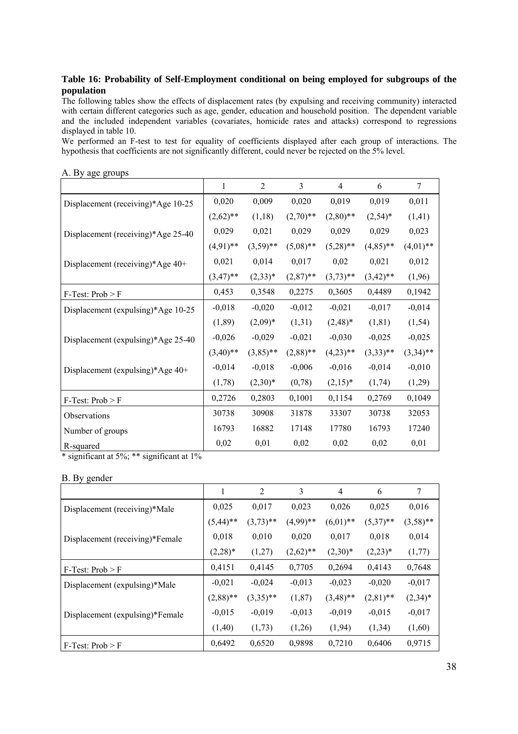#### **Table 16: Probability of Self-Employment conditional on being employed for subgroups of the population**

The following tables show the effects of displacement rates (by expulsing and receiving community) interacted with certain different categories such as age, gender, education and household position. The dependent variable and the included independent variables (covariates, homicide rates and attacks) correspond to regressions displayed in table 10.

We performed an F-test to test for equality of coefficients displayed after each group of interactions. The hypothesis that coefficients are not significantly different, could never be rejected on the 5% level.

|                                    | $\mathbf{1}$ | $\overline{2}$ | 3           | 4           | 6           | 7           |
|------------------------------------|--------------|----------------|-------------|-------------|-------------|-------------|
| Displacement (receiving)*Age 10-25 | 0,020        | 0,009          | 0,020       | 0,019       | 0,019       | 0,011       |
|                                    | $(2,62)$ **  | (1,18)         | $(2,70)$ ** | $(2,80)$ ** | $(2,54)^*$  | (1,41)      |
| Displacement (receiving)*Age 25-40 | 0,029        | 0,021          | 0,029       | 0,029       | 0,029       | 0,023       |
|                                    | $(4,91)$ **  | $(3,59)$ **    | $(5,08)$ ** | $(5,28)$ ** | $(4,85)$ ** | $(4,01)$ ** |
| Displacement (receiving)*Age 40+   | 0,021        | 0,014          | 0,017       | 0,02        | 0,021       | 0,012       |
|                                    | $(3,47)$ **  | $(2,33)^*$     | $(2,87)$ ** | $(3,73)$ ** | $(3,42)$ ** | (1,96)      |
| $F-Test: Prob > F$                 | 0,453        | 0,3548         | 0,2275      | 0,3605      | 0,4489      | 0,1942      |
| Displacement (expulsing)*Age 10-25 | $-0,018$     | $-0,020$       | $-0,012$    | $-0,021$    | $-0,017$    | $-0,014$    |
|                                    | (1, 89)      | $(2,09)^*$     | (1,31)      | $(2,48)^*$  | (1, 81)     | (1, 54)     |
| Displacement (expulsing)*Age 25-40 | $-0,026$     | $-0,029$       | $-0,021$    | $-0,030$    | $-0,025$    | $-0,025$    |
|                                    | $(3,40)$ **  | $(3,85)$ **    | $(2,88)$ ** | $(4,23)$ ** | $(3,33)$ ** | $(3,34)$ ** |
| Displacement (expulsing)*Age 40+   | $-0,014$     | $-0,018$       | $-0,006$    | $-0,016$    | $-0,014$    | $-0,010$    |
|                                    | (1,78)       | $(2,30)^*$     | (0, 78)     | $(2,15)^*$  | (1,74)      | (1,29)      |
| $F-Test: Prob > F$                 | 0,2726       | 0,2803         | 0,1001      | 0,1154      | 0,2769      | 0,1049      |
| Observations                       | 30738        | 30908          | 31878       | 33307       | 30738       | 32053       |
| Number of groups                   | 16793        | 16882          | 17148       | 17780       | 16793       | 17240       |
| R-squared                          | 0,02         | 0,01           | 0,02        | 0,02        | 0,02        | 0,01        |

#### A. By age groups

\* significant at 5%; \*\* significant at 1%

#### B. By gender

|                                 | 1           | 2           | 3           | $\overline{4}$ | 6           | 7           |
|---------------------------------|-------------|-------------|-------------|----------------|-------------|-------------|
| Displacement (receiving)*Male   | 0,025       | 0,017       | 0,023       | 0,026          | 0,025       | 0,016       |
|                                 | $(5,44)$ ** | $(3,73)$ ** | $(4,99)$ ** | $(6,01)$ **    | $(5,37)$ ** | $(3,58)$ ** |
| Displacement (receiving)*Female | 0,018       | 0,010       | 0,020       | 0,017          | 0,018       | 0,014       |
|                                 | $(2,28)^*$  | (1,27)      | $(2,62)$ ** | $(2,30)*$      | $(2,23)^*$  | (1,77)      |
| $F-Test: Prob > F$              | 0,4151      | 0,4145      | 0,7705      | 0,2694         | 0,4143      | 0,7648      |
| Displacement (expulsing)*Male   | $-0,021$    | $-0,024$    | $-0,013$    | $-0,023$       | $-0,020$    | $-0,017$    |
|                                 | $(2,88)$ ** | $(3,35)$ ** | (1, 87)     | $(3,48)$ **    | $(2,81)$ ** | $(2,34)^*$  |
| Displacement (expulsing)*Female | $-0,015$    | $-0,019$    | $-0,013$    | $-0,019$       | $-0,015$    | $-0,017$    |
|                                 | (1,40)      | (1,73)      | (1,26)      | (1, 94)        | (1,34)      | (1,60)      |
| $F-Test: Prob > F$              | 0,6492      | 0,6520      | 0,9898      | 0,7210         | 0,6406      | 0,9715      |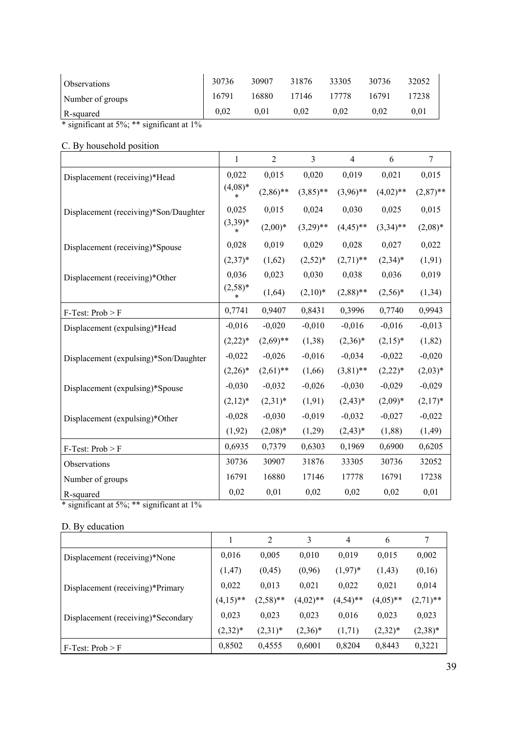| <i><b>Observations</b></i>                                                                                                                                                   | 30736 | 30907 | 31876 | 33305 | 30736 | 32052      |
|------------------------------------------------------------------------------------------------------------------------------------------------------------------------------|-------|-------|-------|-------|-------|------------|
| Number of groups                                                                                                                                                             | 16791 | 16880 | 17146 | 17778 | 16791 | 17238      |
| R-squared                                                                                                                                                                    | 0.02  | 0.01  | 0.02  | 0.02  | 0.02  | $\rm 0.01$ |
| $\mathbf{u}$ . $\mathbf{v}$<br>استعمل من المتعمل المتحدة المتحدة المتحدة المتحدة المتحدة المتحدة المتحدة المتحدة المتحدة المتحدة ال<br>$\cdot$ $\sim$<br>$\cdot$ $\cdot$ 10/ |       |       |       |       |       |            |

# C. By household position

|                                       | $\mathbf{1}$        | $\overline{2}$ | $\overline{3}$ | $\overline{4}$ | 6           | $\overline{7}$ |
|---------------------------------------|---------------------|----------------|----------------|----------------|-------------|----------------|
| Displacement (receiving)*Head         | 0,022               | 0,015          | 0,020          | 0,019          | 0,021       | 0,015          |
|                                       | $(4,08)*$           | $(2,86)$ **    | $(3,85)$ **    | $(3,96)$ **    | $(4,02)$ ** | $(2,87)$ **    |
| Displacement (receiving)*Son/Daughter | 0,025               | 0,015          | 0,024          | 0,030          | 0,025       | 0,015          |
|                                       | $(3,39)*$<br>*      | $(2,00)*$      | $(3,29)$ **    | $(4,45)$ **    | $(3,34)$ ** | $(2,08)*$      |
| Displacement (receiving)*Spouse       | 0,028               | 0,019          | 0,029          | 0,028          | 0,027       | 0,022          |
|                                       | $(2,37)^*$          | (1,62)         | $(2,52)^*$     | $(2,71)$ **    | $(2,34)^*$  | (1, 91)        |
| Displacement (receiving)*Other        | 0,036               | 0,023          | 0,030          | 0,038          | 0,036       | 0,019          |
|                                       | $(2,58)*$<br>$\ast$ | (1,64)         | $(2,10)^*$     | $(2,88)$ **    | $(2,56)^*$  | (1,34)         |
| $F-Test: Prob > F$                    | 0,7741              | 0,9407         | 0,8431         | 0,3996         | 0,7740      | 0,9943         |
| Displacement (expulsing)*Head         | $-0,016$            | $-0,020$       | $-0,010$       | $-0,016$       | $-0,016$    | $-0,013$       |
|                                       | $(2,22)^*$          | $(2,69)$ **    | (1,38)         | $(2,36)^*$     | $(2,15)^*$  | (1, 82)        |
| Displacement (expulsing)*Son/Daughter | $-0,022$            | $-0,026$       | $-0,016$       | $-0,034$       | $-0,022$    | $-0,020$       |
|                                       | $(2,26)^*$          | $(2,61)$ **    | (1,66)         | $(3,81)$ **    | $(2,22)^*$  | $(2,03)*$      |
| Displacement (expulsing)*Spouse       | $-0,030$            | $-0,032$       | $-0,026$       | $-0,030$       | $-0,029$    | $-0,029$       |
|                                       | $(2,12)^*$          | $(2,31)^*$     | (1, 91)        | $(2,43)*$      | $(2,09)^*$  | $(2,17)^*$     |
| Displacement (expulsing)*Other        | $-0,028$            | $-0,030$       | $-0,019$       | $-0,032$       | $-0,027$    | $-0,022$       |
|                                       | (1,92)              | $(2,08)*$      | (1,29)         | $(2,43)^*$     | (1, 88)     | (1,49)         |
| $F-Test: Prob > F$                    | 0,6935              | 0,7379         | 0,6303         | 0,1969         | 0,6900      | 0,6205         |
| Observations                          | 30736               | 30907          | 31876          | 33305          | 30736       | 32052          |
| Number of groups                      | 16791               | 16880          | 17146          | 17778          | 16791       | 17238          |
| R-squared                             | 0,02                | 0,01           | 0,02           | 0,02           | 0,02        | 0,01           |

\* significant at  $5\%$ ; \*\* significant at  $1\%$ 

# D. By education

|                                    |             | $\overline{2}$ | 3           | 4           | 6           | 7           |
|------------------------------------|-------------|----------------|-------------|-------------|-------------|-------------|
| Displacement (receiving)*None      | 0,016       | 0,005          | 0.010       | 0.019       | 0.015       | 0,002       |
|                                    | (1, 47)     | (0,45)         | (0,96)      | $(1,97)^*$  | (1, 43)     | (0,16)      |
| Displacement (receiving)*Primary   | 0,022       | 0,013          | 0,021       | 0,022       | 0,021       | 0,014       |
|                                    | $(4,15)$ ** | $(2,58)$ **    | $(4,02)$ ** | $(4,54)$ ** | $(4,05)$ ** | $(2,71)$ ** |
| Displacement (receiving)*Secondary | 0,023       | 0,023          | 0,023       | 0.016       | 0,023       | 0,023       |
|                                    | $(2,32)^*$  | $(2,31)^*$     | $(2,36)^*$  | (1,71)      | $(2,32)^*$  | $(2,38)^*$  |
| $F-Test: Prob > F$                 | 0,8502      | 0,4555         | 0,6001      | 0,8204      | 0,8443      | 0,3221      |